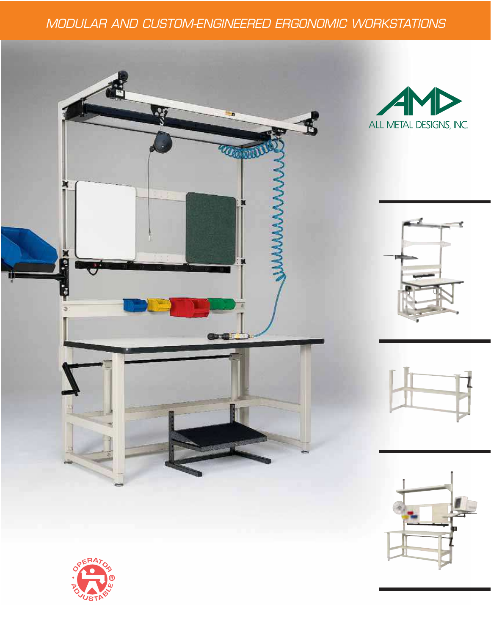# MODULAR AND CUSTOM-ENGINEERED ERGONOMIC WORKSTATIONS











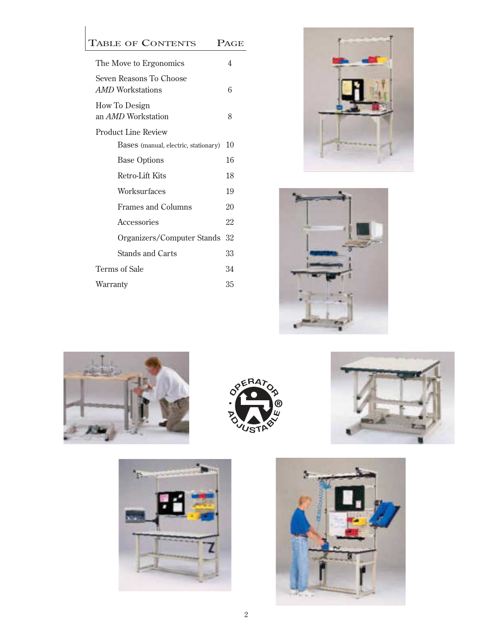|               | <b>TABLE OF CONTENTS</b>                           | PAGE |  |  |  |
|---------------|----------------------------------------------------|------|--|--|--|
|               | The Move to Ergonomics                             | 4    |  |  |  |
|               | Seven Reasons To Choose<br><i>AMD</i> Workstations | 6    |  |  |  |
|               | How To Design<br>an <i>AMD</i> Workstation         | 8    |  |  |  |
|               | <b>Product Line Review</b>                         |      |  |  |  |
|               | Bases (manual, electric, stationary)               | 10   |  |  |  |
|               | <b>Base Options</b>                                | 16   |  |  |  |
|               | <b>Retro-Lift Kits</b>                             | 18   |  |  |  |
|               | Worksurfaces                                       | 19   |  |  |  |
|               | <b>Frames and Columns</b>                          | 20   |  |  |  |
|               | Accessories                                        | 22   |  |  |  |
|               | Organizers/Computer Stands                         | 32   |  |  |  |
|               | Stands and Carts                                   | 33   |  |  |  |
| Terms of Sale |                                                    |      |  |  |  |
| Warranty      |                                                    |      |  |  |  |
|               |                                                    |      |  |  |  |













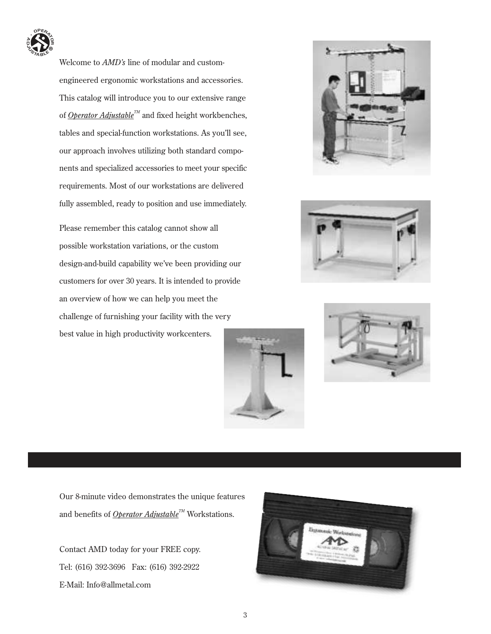

Welcome to *AMD's* line of modular and customengineered ergonomic workstations and accessories. This catalog will introduce you to our extensive range of *Operator Adjustable<sup>TM</sup>* and fixed height workbenches, tables and special-function workstations. As you'll see, our approach involves utilizing both standard components and specialized accessories to meet your specific requirements. Most of our workstations are delivered fully assembled, ready to position and use immediately.

Please remember this catalog cannot show all possible workstation variations, or the custom design-and-build capability we've been providing our customers for over 30 years. It is intended to provide an overview of how we can help you meet the challenge of furnishing your facility with the very best value in high productivity workcenters.









Our 8-minute video demonstrates the unique features and benefits of *Operator Adjustable<sup>™</sup>* Workstations.

Contact AMD today for your FREE copy. Tel: (616) 392-3696 Fax: (616) 392-2922 E-Mail: Info@allmetal.com

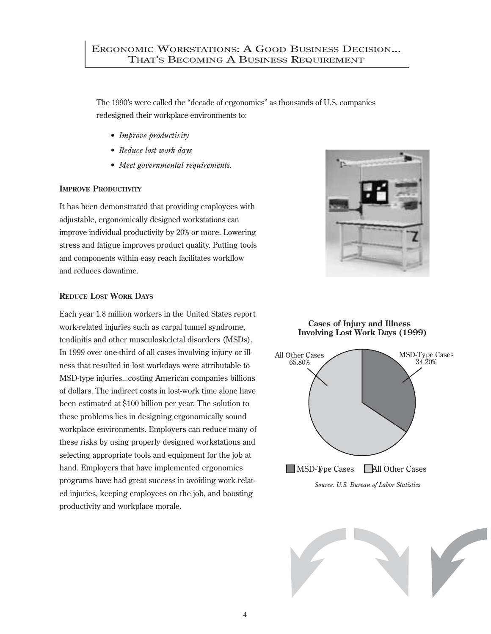The 1990's were called the "decade of ergonomics" as thousands of U.S. companies redesigned their workplace environments to:

- *Improve productivity*
- *Reduce lost work days*
- *Meet governmental requirements.*

## **IMPROVE PRODUCTIVITY**

It has been demonstrated that providing employees with adjustable, ergonomically designed workstations can improve individual productivity by 20% or more. Lowering stress and fatigue improves product quality. Putting tools and components within easy reach facilitates workflow and reduces downtime.



Each year 1.8 million workers in the United States report work-related injuries such as carpal tunnel syndrome, tendinitis and other musculoskeletal disorders (MSDs). In 1999 over one-third of all cases involving injury or illness that resulted in lost workdays were attributable to MSD-type injuries...costing American companies billions of dollars. The indirect costs in lost-work time alone have been estimated at \$100 billion per year. The solution to these problems lies in designing ergonomically sound workplace environments. Employers can reduce many of these risks by using properly designed workstations and selecting appropriate tools and equipment for the job at hand. Employers that have implemented ergonomics programs have had great success in avoiding work related injuries, keeping employees on the job, and boosting productivity and workplace morale.





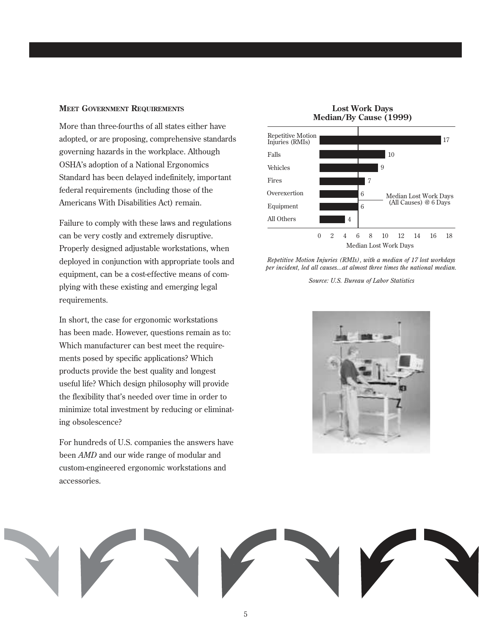#### **MEET GOVERNMENT REQUIREMENTS**

More than three-fourths of all states either have adopted, or are proposing, comprehensive standards governing hazards in the workplace. Although OSHA's adoption of a National Ergonomics Standard has been delayed indefinitely, important federal requirements (including those of the Americans With Disabilities Act) remain.

Failure to comply with these laws and regulations can be very costly and extremely disruptive. Properly designed adjustable workstations, when deployed in conjunction with appropriate tools and equipment, can be a cost-effective means of complying with these existing and emerging legal requirements.

In short, the case for ergonomic workstations has been made. However, questions remain as to: Which manufacturer can best meet the requirements posed by specific applications? Which products provide the best quality and longest useful life? Which design philosophy will provide the flexibility that's needed over time in order to minimize total investment by reducing or eliminating obsolescence?

For hundreds of U.S. companies the answers have been *AMD* and our wide range of modular and custom-engineered ergonomic workstations and accessories.

**Lost Work Days Median/By Cause (1999)**



*Repetitive Motion Injuries (RMIs), with a median of 17 lost workdays per incident, led all causes...at almost three times the national median.*

*Source: U.S. Bureau of Labor Statistics*



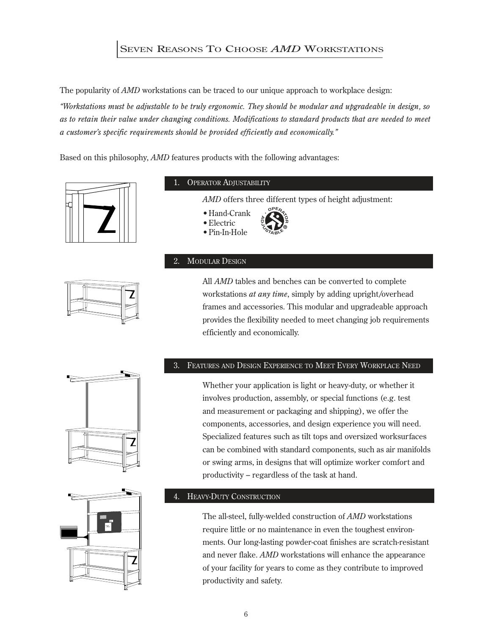## SEVEN REASONS TO CHOOSE *AMD* WORKSTATIONS

The popularity of *AMD* workstations can be traced to our unique approach to workplace design:

*"Workstations must be adjustable to be truly ergonomic. They should be modular and upgradeable in design, so as to retain their value under changing conditions. Modifications to standard products that are needed to meet a customer's specific requirements should be provided efficiently and economically."*

Based on this philosophy, *AMD* features products with the following advantages:



### OPERATOR ADJUSTABILITY

*AMD* offers three different types of height adjustment:

**<sup>O</sup>PERATOR**

**A** $\frac{1}{2}$ **®**

- •Hand-Crank
- •Electric
- •Pin-In-Hole

## 2. MODULAR DESIGN



All *AMD* tables and benches can be converted to complete workstations *at any time*, simply by adding upright/overhead frames and accessories. This modular and upgradeable approach provides the flexibility needed to meet changing job requirements efficiently and economically.

## 3. FEATURES AND DESIGN EXPERIENCE TO MEET EVERY WORKPLACE NEED

Whether your application is light or heavy-duty, or whether it involves production, assembly, or special functions (e.g. test and measurement or packaging and shipping), we offer the components, accessories, and design experience you will need. Specialized features such as tilt tops and oversized worksurfaces can be combined with standard components, such as air manifolds or swing arms, in designs that will optimize worker comfort and productivity – regardless of the task at hand.



## HEAVY-DUTY CONSTRUCTION

The all-steel, fully-welded construction of *AMD* workstations require little or no maintenance in even the toughest environments. Our long-lasting powder-coat finishes are scratch-resistant and never flake. *AMD* workstations will enhance the appearance of your facility for years to come as they contribute to improved productivity and safety.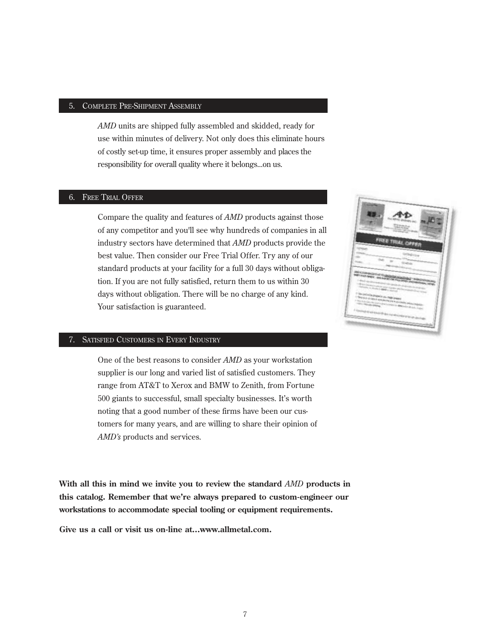#### 5. COMPLETE PRE-SHIPMENT ASSEMBLY

*AMD* units are shipped fully assembled and skidded, ready for use within minutes of delivery. Not only does this eliminate hours of costly set-up time, it ensures proper assembly and places the responsibility for overall quality where it belongs...on us.

#### 6. FREE TRIAL OFFER

Compare the quality and features of *AMD* products against those of any competitor and you'll see why hundreds of companies in all industry sectors have determined that *AMD* products provide the best value. Then consider our Free Trial Offer. Try any of our standard products at your facility for a full 30 days without obligation. If you are not fully satisfied, return them to us within 30 days without obligation. There will be no charge of any kind. Your satisfaction is guaranteed.

### 7. SATISFIED CUSTOMERS IN EVERY INDUSTRY

One of the best reasons to consider *AMD* as your workstation supplier is our long and varied list of satisfied customers. They range from AT&T to Xerox and BMW to Zenith, from Fortune 500 giants to successful, small specialty businesses. It's worth noting that a good number of these firms have been our customers for many years, and are willing to share their opinion of *AMD's* products and services.

**With all this in mind we invite you to review the standard** *AMD* **products in this catalog. Remember that we're always prepared to custom-engineer our workstations to accommodate special tooling or equipment requirements.**

**Give us a call or visit us on-line at...www.allmetal.com.**

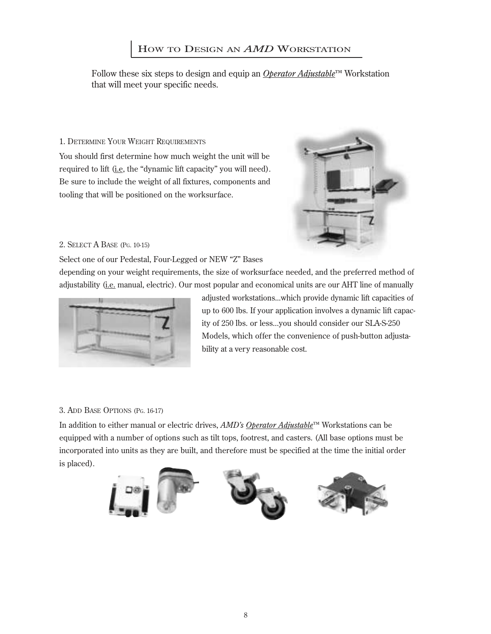## HOW TO DESIGN AN *AMD* WORKSTATION

Follow these six steps to design and equip an *Operator Adjustable*™ Workstation that will meet your specific needs.

## 1. DETERMINE YOUR WEIGHT REQUIREMENTS

You should first determine how much weight the unit will be required to lift (i.e, the "dynamic lift capacity" you will need). Be sure to include the weight of all fixtures, components and tooling that will be positioned on the worksurface.



## 2. SELECT A BASE (PG. 10-15)

Select one of our Pedestal, Four-Legged or NEW "Z" Bases

depending on your weight requirements, the size of worksurface needed, and the preferred method of adjustability (i.e. manual, electric). Our most popular and economical units are our AHT line of manually



adjusted workstations...which provide dynamic lift capacities of up to 600 lbs. If your application involves a dynamic lift capacity of 250 lbs. or less...you should consider our SLA-S-250 Models, which offer the convenience of push-button adjustability at a very reasonable cost.

## 3. ADD BASE OPTIONS (PG. 16-17)

In addition to either manual or electric drives, *AMD's Operator Adjustable*™ Workstations can be equipped with a number of options such as tilt tops, footrest, and casters. (All base options must be incorporated into units as they are built, and therefore must be specified at the time the initial order is placed).

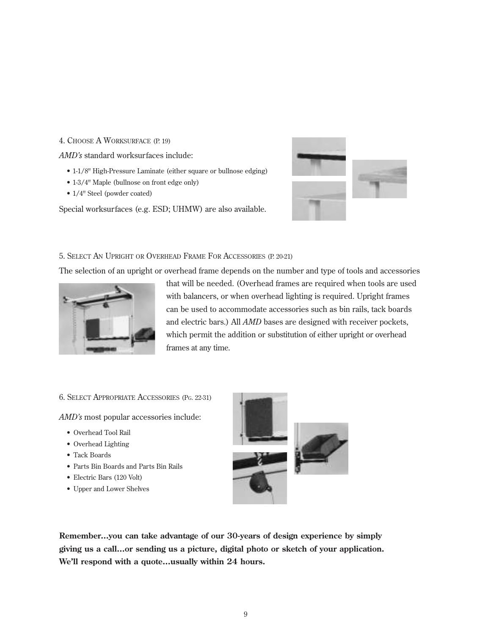### 4. CHOOSE A WORKSURFACE (P. 19)

*AMD's* standard worksurfaces include:

- 1-1/8" High-Pressure Laminate (either square or bullnose edging)
- 1-3/4" Maple (bullnose on front edge only)
- 1/4" Steel (powder coated)

Special worksurfaces (e.g. ESD; UHMW) are also available.



## 5. SELECT AN UPRIGHT OR OVERHEAD FRAME FOR ACCESSORIES (P. 20-21)

The selection of an upright or overhead frame depends on the number and type of tools and accessories



that will be needed. (Overhead frames are required when tools are used with balancers, or when overhead lighting is required. Upright frames can be used to accommodate accessories such as bin rails, tack boards and electric bars.) All *AMD* bases are designed with receiver pockets, which permit the addition or substitution of either upright or overhead frames at any time.

## 6. SELECT APPROPRIATE ACCESSORIES (PG. 22-31)

*AMD's* most popular accessories include:

- Overhead Tool Rail
- Overhead Lighting
- Tack Boards
- Parts Bin Boards and Parts Bin Rails
- Electric Bars (120 Volt)
- Upper and Lower Shelves



**Remember...you can take advantage of our 30-years of design experience by simply giving us a call...or sending us a picture, digital photo or sketch of your application. We'll respond with a quote...usually within 24 hours.**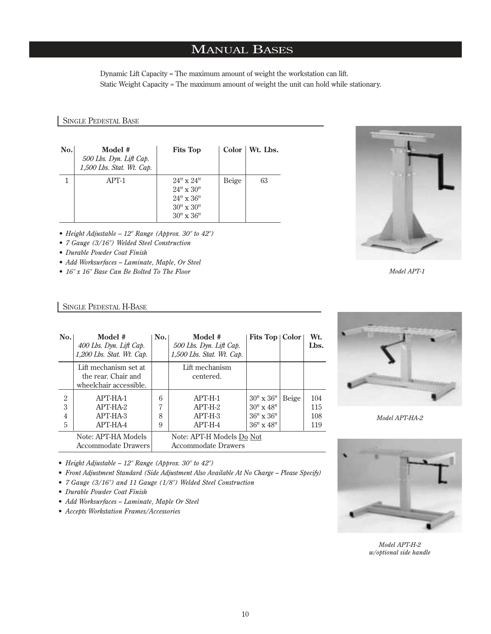## MANUAL BASES

Dynamic Lift Capacity = The maximum amount of weight the workstation can lift. Static Weight Capacity = The maximum amount of weight the unit can hold while stationary.

#### SINGLE PEDESTAL BASE

| No. | Model #<br>500 Lbs. Dyn. Lift Cap.<br>1,500 Lbs. Stat. Wt. Cap. | <b>Fits Top</b>                                                                                            |       | $Color \mid Wt$ . Lbs. |
|-----|-----------------------------------------------------------------|------------------------------------------------------------------------------------------------------------|-------|------------------------|
|     | $APT-1$                                                         | $24'' \times 24''$<br>$24'' \times 30''$<br>$24'' \times 36''$<br>$30'' \times 30''$<br>$30'' \times 36''$ | Beige | 63                     |

- *Height Adjustable 12" Range (Approx. 30" to 42")*
- *7 Gauge (3/16") Welded Steel Construction*
- *Durable Powder Coat Finish*
- *Add Worksurfaces Laminate, Maple, Or Steel*
- *16" x 16" Base Can Be Bolted To The Floor*

### SINGLE PEDESTAL H-BASE

| $\bf{No}.$                    | Model #<br>400 Lbs. Dyn. Lift Cap.<br>1,200 Lbs. Stat. Wt. Cap.        |                  | Model #<br>500 Lbs. Dyn. Lift Cap.<br>1,500 Lbs. Stat. Wt. Cap. | <b>Fits Top   Color  </b>                                                            |       | Wt.<br>Lbs.              |
|-------------------------------|------------------------------------------------------------------------|------------------|-----------------------------------------------------------------|--------------------------------------------------------------------------------------|-------|--------------------------|
|                               | Lift mechanism set at<br>the rear. Chair and<br>wheelchair accessible. |                  | Lift mechanism<br>centered.                                     |                                                                                      |       |                          |
| $\mathfrak{D}$<br>3<br>4<br>5 | APT-HA-1<br>APT-HA-2<br>APT-HA-3<br>APT-HA-4                           | 6<br>7<br>8<br>9 | $APT-H-1$<br>$APT-H-2$<br>$APT-H-3$<br>$APT-H-4$                | $30'' \times 36''$<br>$30'' \times 48''$<br>$36'' \times 36''$<br>$36'' \times 48''$ | Beige | 104<br>115<br>108<br>119 |
|                               | Note: APT-HA Models<br><b>Accommodate Drawers</b>                      |                  | Note: APT-H Models Do Not<br><b>Accommodate Drawers</b>         |                                                                                      |       |                          |



*Model APT-HA-2* 



*Model APT-H-2 w/optional side handle*

- *Height Adjustable 12" Range (Approx. 30" to 42")*
- *• Front Adjustment Standard (Side Adjustment Also Available At No Charge Please Specify)*
- *7 Gauge (3/16") and 11 Gauge (1/8") Welded Steel Construction*
- *Durable Powder Coat Finish*
- *Add Worksurfaces Laminate, Maple Or Steel*
- *Accepts Workstation Frames/Accessories*



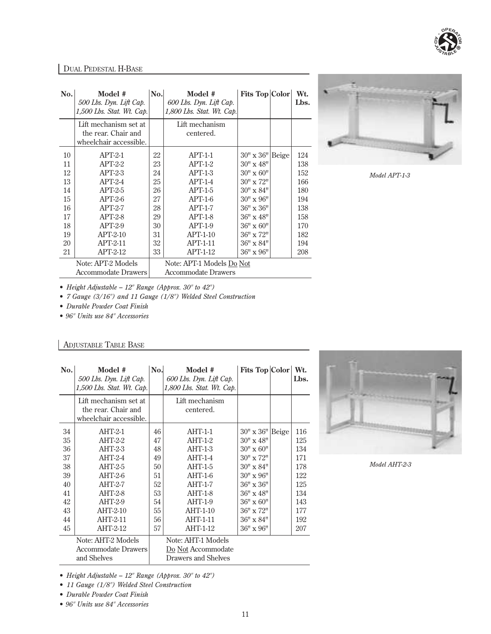

## DUAL PEDESTAL H-BASE

| No. | Model #<br>500 Lbs. Dyn. Lift Cap.<br>$1,500$ Lbs. Stat. Wt. Cap.      | No. | Model #<br>600 Lbs. Dyn. Lift Cap.<br>$1,800$ Lbs. Stat. Wt. Cap. | <b>Fits Top Color</b> |       | Wt.<br>Lbs. |
|-----|------------------------------------------------------------------------|-----|-------------------------------------------------------------------|-----------------------|-------|-------------|
|     | Lift mechanism set at<br>the rear. Chair and<br>wheelchair accessible. |     | Lift mechanism<br>centered.                                       |                       |       |             |
| 10  | $APT-2-1$                                                              | 22  | $APT-1-1$                                                         | $30'' \times 36''$    | Beige | 124         |
| 11  | $APT-2-2$                                                              | 23  | $APT-1-2$                                                         | $30'' \times 48''$    |       | 138         |
| 12  | $APT-2-3$                                                              | 24  | $APT-1-3$                                                         | $30'' \times 60''$    |       | 152         |
| 13  | $APT-2-4$                                                              | 25  | $APT-1-4$                                                         | $30'' \times 72''$    |       | 166         |
| 14  | $APT-2-5$                                                              | 26  | $APT-1-5$                                                         | $30'' \times 84''$    |       | 180         |
| 15  | $APT-2-6$                                                              | 27  | $APT-1-6$                                                         | 30" x 96"             |       | 194         |
| 16  | $APT-2-7$                                                              | 28  | $APT-1-7$                                                         | $36" \times 36"$      |       | 138         |
| 17  | $APT-2-8$                                                              | 29  | $APT-1-8$                                                         | 36" x 48"             |       | 158         |
| 18  | $APT-2-9$                                                              | 30  | $APT-1-9$                                                         | $36'' \times 60''$    |       | 170         |
| 19  | $APT-2-10$                                                             | 31  | $APT-1-10$                                                        | $36'' \times 72''$    |       | 182         |
| 20  | $APT-2-11$                                                             | 32  | $APT-1-11$                                                        | $36'' \times 84''$    |       | 194         |
| 21  | $APT-2-12$                                                             | 33  | $APT-1-12$                                                        | $36'' \times 96''$    |       | 208         |
|     | Note: APT-2 Models                                                     |     | Note: APT-1 Models Do Not                                         |                       |       |             |
|     | <b>Accommodate Drawers</b>                                             |     | <b>Accommodate Drawers</b>                                        |                       |       |             |



*Model APT-1-3*

*• Height Adjustable – 12" Range (Approx. 30" to 42")*

*• 7 Gauge (3/16") and 11 Gauge (1/8") Welded Steel Construction* 

*• Durable Powder Coat Finish*

*• 96" Units use 84" Accessories*

## ADJUSTABLE TABLE BASE

| No. | Model #<br>500 Lbs. Dyn. Lift Cap.<br>$1,500$ Lbs. Stat. Wt. Cap.      | No. | Model #<br>600 Lbs. Dyn. Lift Cap.<br>1,800 Lbs. Stat. Wt. Cap. | Fits Top Color           | Wt.<br>Lbs. |
|-----|------------------------------------------------------------------------|-----|-----------------------------------------------------------------|--------------------------|-------------|
|     | Lift mechanism set at<br>the rear. Chair and<br>wheelchair accessible. |     | Lift mechanism<br>centered.                                     |                          |             |
| 34  | $AHT-2-1$                                                              | 46  | $AHT-1-1$                                                       | $30'' \times 36''$ Beige | 116         |
| 35  | $AHT-2-2$                                                              | 47  | $AHT-1-2$                                                       | $30'' \times 48''$       | 125         |
| 36  | $AHT-2-3$                                                              | 48  | $AHT-1-3$                                                       | $30'' \times 60''$       | 134         |
| 37  | $AHT-2-4$                                                              | 49  | $AHT-1-4$                                                       | $30'' \times 72''$       | 171         |
| 38  | $AHT-2-5$                                                              | 50  | $AHT-1-5$                                                       | $30'' \times 84''$       | 178         |
| 39  | $AHT-2-6$                                                              | 51  | $AHT-1-6$                                                       | $30'' \times 96''$       | 122         |
| 40  | $AHT-2-7$                                                              | 52  | $AHT-1-7$                                                       | $36'' \times 36''$       | 125         |
| 41  | $AHT-2-8$                                                              | 53  | $AHT-1-8$                                                       | $36'' \times 48''$       | 134         |
| 42  | $AHT-2-9$                                                              | 54  | $AHT-1-9$                                                       | $36" \times 60"$         | 143         |
| 43  | $AHT-2-10$                                                             | 55  | $AHT-1-10$                                                      | 36" x 72"                | 177         |
| 44  | AHT-2-11                                                               | 56  | AHT-1-11                                                        | $36'' \times 84''$       | 192         |
| 45  | AHT-2-12                                                               | 57  | AHT-1-12                                                        | $36" \times 96"$         | 207         |
|     | Note: AHT-2 Models<br><b>Accommodate Drawers</b><br>and Shelves        |     | Note: AHT-1 Models<br>Do Not Accommodate<br>Drawers and Shelves |                          |             |



*Model AHT-2-3*

*• Height Adjustable – 12" Range (Approx. 30" to 42")*

*• Durable Powder Coat Finish*

*• 96" Units use 84" Accessories*

*<sup>• 11</sup> Gauge (1/8") Welded Steel Construction*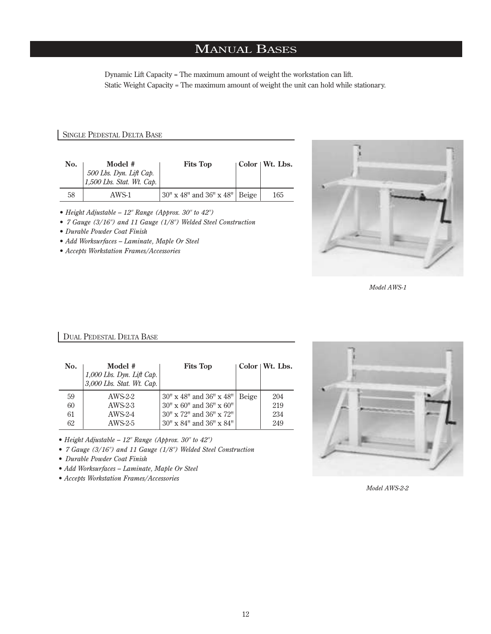## MANUAL BASES

Dynamic Lift Capacity = The maximum amount of weight the workstation can lift. Static Weight Capacity = The maximum amount of weight the unit can hold while stationary.

#### SINGLE PEDESTAL DELTA BASE

| No. | Model #<br>$\begin{array}{ l} 500 \text{ Lbs.}\ Dyn. \text{ Lift } Cap. \\ 1,500 \text{ Lbs.}\ \text{Stat.}\ Wt. \text{Cap.} \end{array}$ | <b>Fits Top</b>                              | $\vert$ Color $\vert$ Wt. Lbs. |
|-----|-------------------------------------------------------------------------------------------------------------------------------------------|----------------------------------------------|--------------------------------|
| 58  | AWS-1                                                                                                                                     | $ 30" \times 48"$ and $36" \times 48"$ Beige | 165                            |

- *Height Adjustable 12" Range (Approx. 30" to 42")*
- *7 Gauge (3/16") and 11 Gauge (1/8") Welded Steel Construction*
- *Durable Powder Coat Finish*
- *Add Worksurfaces Laminate, Maple Or Steel*
- *Accepts Workstation Frames/Accessories*



*Model AWS-1*

### DUAL PEDESTAL DELTA BASE

| No. | Model #<br>1,000 Lbs. Dyn. Lift Cap.<br>3,000 Lbs. Stat. Wt. Cap. | <b>Fits Top</b>                           |       | Color   Wt. Lbs. |
|-----|-------------------------------------------------------------------|-------------------------------------------|-------|------------------|
| 59  | AWS-2-2                                                           | $30'' \times 48''$ and $36'' \times 48''$ | Beige | 204              |
| 60  | AWS-2-3                                                           | $30'' \times 60''$ and $36'' \times 60''$ |       | 219              |
| 61  | $AWS-2-4$                                                         | $30'' \times 72''$ and $36'' \times 72''$ |       | 234              |
| 62  | $AWS-2-5$                                                         | 30" x 84" and 36" x 84"                   |       | 249              |

*• Height Adjustable – 12" Range (Approx. 30" to 42")*

- *7 Gauge (3/16") and 11 Gauge (1/8") Welded Steel Construction*
- *Durable Powder Coat Finish*
- *Add Worksurfaces Laminate, Maple Or Steel*
- *Accepts Workstation Frames/Accessories*



*Model AWS-2-2*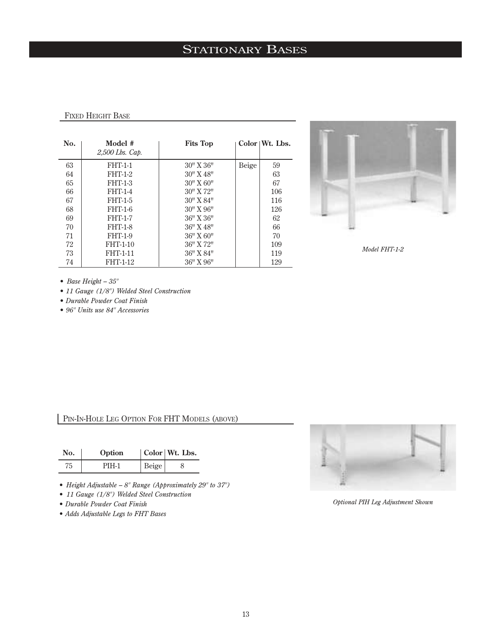## STATIONARY BASES

#### FIXED HEIGHT BASE

| No. | Model #<br>2,500 Lbs. Cap. | <b>Fits Top</b>    |       | Color Wt. Lbs. |
|-----|----------------------------|--------------------|-------|----------------|
| 63  | <b>FHT-1-1</b>             | $30''$ X $36''$    | Beige | 59             |
| 64  | <b>FHT-1-2</b>             | $30''$ X $48''$    |       | 63             |
| 65  | <b>FHT-1-3</b>             | $30'' \times 60''$ |       | 67             |
| 66  | <b>FHT-1-4</b>             | 30" X 72"          |       | 106            |
| 67  | <b>FHT-1-5</b>             | 30" X 84"          |       | 116            |
| 68  | <b>FHT-1-6</b>             | $30'' \times 96''$ |       | 126            |
| 69  | <b>FHT-1-7</b>             | $36"$ X $36"$      |       | 62             |
| 70  | <b>FHT-1-8</b>             | 36" X 48"          |       | 66             |
| 71  | <b>FHT-1-9</b>             | $36"$ X $60"$      |       | 70             |
| 72  | FHT-1-10                   | 36" X 72"          |       | 109            |
| 73  | FHT-1-11                   | 36" X 84"          |       | 119            |
| 74  | <b>FHT-1-12</b>            | 36" X 96"          |       | 129            |



*Model FHT-1-2*

*• Base Height – 35"*

*• 11 Gauge (1/8") Welded Steel Construction* 

*• Durable Powder Coat Finish*

*• 96" Units use 84" Accessories*

## PIN-IN-HOLE LEG OPTION FOR FHT MODELS (ABOVE)

| No. | Option |       | Color   Wt. Lbs. |
|-----|--------|-------|------------------|
| 75  | PIH-1  | Beige |                  |

- *Height Adjustable 8" Range (Approximately 29" to 37")*
- *11 Gauge (1/8") Welded Steel Construction*
- *Durable Powder Coat Finish*
- *Adds Adjustable Legs to FHT Bases*



*Optional PIH Leg Adjustment Shown*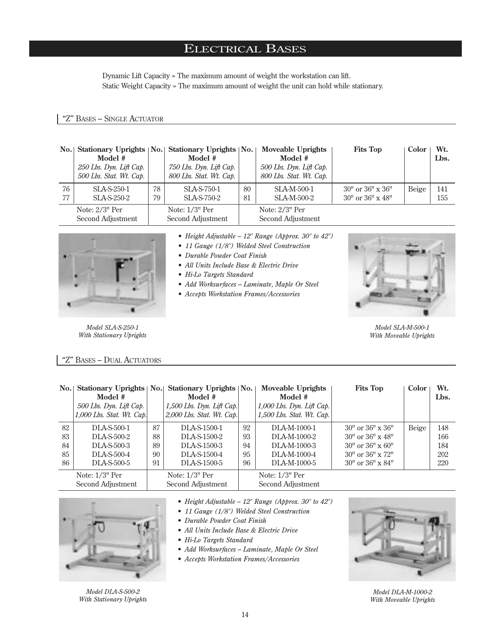## ELECTRICAL BASES

Dynamic Lift Capacity = The maximum amount of weight the workstation can lift. Static Weight Capacity = The maximum amount of weight the unit can hold while stationary.

## "Z" BASES – SINGLE ACTUATOR

|          | Model #<br>250 Lbs. Dyn. Lift Cap.<br>500 Lbs. Stat. Wt. Cap.                                          |          | No. Stationary Uprights   No. Stationary Uprights   No.  <br>Model #<br>750 Lbs. Dyn. Lift Cap.<br>800 Lbs. Stat. Wt. Cap. |                                                   | <b>Moveable Uprights</b><br>Model #<br>500 Lbs. Dyn. Lift Cap.<br>800 Lbs. Stat. Wt. Cap. | <b>Fits Top</b>                                              | Color | Wt.<br>Lbs. |
|----------|--------------------------------------------------------------------------------------------------------|----------|----------------------------------------------------------------------------------------------------------------------------|---------------------------------------------------|-------------------------------------------------------------------------------------------|--------------------------------------------------------------|-------|-------------|
| 76<br>77 | SLA-S-250-1<br>SLA-S-250-2                                                                             | 78<br>79 | SLA-S-750-1<br>SLA-S-750-2                                                                                                 | 80<br>81                                          | SLA-M-500-1<br>SLA-M-500-2                                                                | $30''$ or $36'' \times 36''$<br>$30''$ or $36'' \times 48''$ | Beige | 141<br>155  |
|          | Note: $2/3$ <sup>"</sup> Per<br>Note: $1/3$ <sup>"</sup> Per<br>Second Adjustment<br>Second Adjustment |          |                                                                                                                            | Note: $2/3$ <sup>"</sup> Per<br>Second Adjustment |                                                                                           |                                                              |       |             |



*Model SLA-S-250-1 With Stationary Uprights*

- *Height Adjustable 12" Range (Approx. 30" to 42")*
- *11 Gauge (1/8") Welded Steel Construction*
- *Durable Powder Coat Finish*
- *All Units Include Base & Electric Drive*
- *Hi-Lo Targets Standard*
- *Add Worksurfaces Laminate, Maple Or Steel*
- *Accepts Workstation Frames/Accessories*



*Model SLA-M-500-1 With Moveable Uprights*

#### "Z" BASES – DUAL ACTUATORS

| $\bf{No.}$ | Stationary Uprights   No.<br>Model #<br>$500$ Lbs. Dyn. Lift Cap.<br>$1,000$ Lbs. Stat. Wt. Cap. |    | Stationary Uprights   No.  <br>Model #<br>$1,500$ Lbs. Dyn. Lift Cap.<br>$2,000$ Lbs. Stat. Wt. Cap. |    | Moveable Uprights<br>Model #<br>$1,000$ Lbs. Dyn. Lift Cap.<br>$1,500$ Lbs. Stat. Wt. Cap. | <b>Fits Top</b>           | Color | Wt.<br>Lbs. |
|------------|--------------------------------------------------------------------------------------------------|----|------------------------------------------------------------------------------------------------------|----|--------------------------------------------------------------------------------------------|---------------------------|-------|-------------|
| 82         | DLA-S-500-1                                                                                      | 87 | DLA-S-1500-1                                                                                         | 92 | DLA-M-1000-1                                                                               | $30"$ or $36"$ x $36"$    | Beige | 148         |
| 83         | DLA-S-500-2                                                                                      | 88 | DLA-S-1500-2                                                                                         | 93 | DLA-M-1000-2                                                                               | $30"$ or $36"$ x $48"$    |       | 166         |
| 84         | DLA-S-500-3                                                                                      | 89 | DLA-S-1500-3                                                                                         | 94 | DLA-M-1000-3                                                                               | $30"$ or $36" \times 60"$ |       | 184         |
| 85         | DLA-S-500-4                                                                                      | 90 | DLA-S-1500-4                                                                                         | 95 | DLA-M-1000-4                                                                               | $30"$ or $36"$ x $72"$    |       | 202         |
| 86         | DLA-S-500-5                                                                                      | 91 | DLA-S-1500-5                                                                                         | 96 | DLA-M-1000-5                                                                               | $30"$ or $36"$ x $84"$    |       | 220         |
|            | Note: $1/3$ <sup>"</sup> Per                                                                     |    | Note: $1/3$ <sup>"</sup> Per                                                                         |    | Note: $1/3$ <sup>"</sup> Per                                                               |                           |       |             |
|            | Second Adjustment                                                                                |    | Second Adjustment                                                                                    |    | Second Adjustment                                                                          |                           |       |             |



*Model DLA-S-500-2 With Stationary Uprights*

- *Height Adjustable 12" Range (Approx. 30" to 42")*
- *11 Gauge (1/8") Welded Steel Construction*
- *Durable Powder Coat Finish*
- *All Units Include Base & Electric Drive*
- *Hi-Lo Targets Standard*
- *Add Worksurfaces Laminate, Maple Or Steel*
- *Accepts Workstation Frames/Accessories*



*Model DLA-M-1000-2 With Moveable Uprights*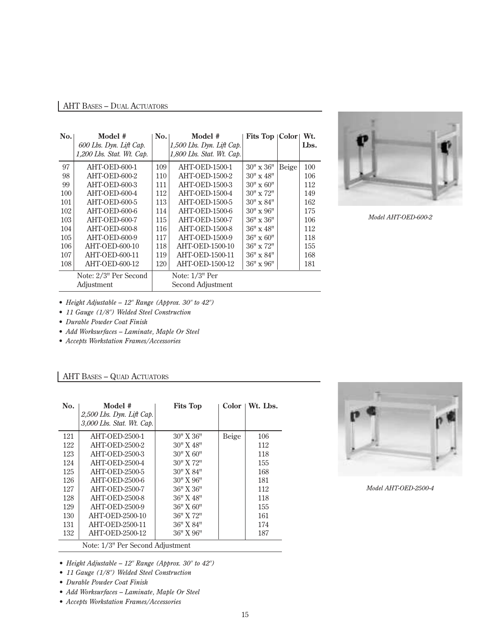## AHT BASES – DUAL ACTUATORS

| No. | Model #                     | No. | Model #                   | Fits Top   Color   |       | Wt.  |
|-----|-----------------------------|-----|---------------------------|--------------------|-------|------|
|     | 600 Lbs. Dyn. Lift Cap.     |     | 1,500 Lbs. Dyn. Lift Cap. |                    |       | Lbs. |
|     | $1,200$ Lbs. Stat. Wt. Cap. |     | 1,800 Lbs. Stat. Wt. Cap. |                    |       |      |
| 97  | AHT-OED-600-1               | 109 | AHT-OED-1500-1            | $30'' \times 36''$ | Beige | 100  |
| 98  | AHT-OED-600-2               | 110 | AHT-OED-1500-2            | $30'' \times 48''$ |       | 106  |
| 99  | AHT-OED-600-3               | 111 | AHT-OED-1500-3            | $30'' \times 60''$ |       | 112  |
| 100 | AHT-OED-600-4               | 112 | AHT-OED-1500-4            | $30'' \times 72''$ |       | 149  |
| 101 | AHT-OED-600-5               | 113 | AHT-OED-1500-5            | $30'' \times 84''$ |       | 162  |
| 102 | AHT-OED-600-6               | 114 | AHT-OED-1500-6            | $30'' \times 96''$ |       | 175  |
| 103 | AHT-OED-600-7               | 115 | <b>AHT-OED-1500-7</b>     | $36" \times 36"$   |       | 106  |
| 104 | AHT-OED-600-8               | 116 | <b>AHT-OED-1500-8</b>     | $36'' \times 48''$ |       | 112  |
| 105 | AHT-OED-600-9               | 117 | AHT-OED-1500-9            | $36'' \times 60''$ |       | 118  |
| 106 | AHT-OED-600-10              | 118 | AHT-OED-1500-10           | $36'' \times 72''$ |       | 155  |
| 107 | AHT-OED-600-11              | 119 | AHT-OED-1500-11           | $36'' \times 84''$ |       | 168  |
| 108 | AHT-OED-600-12              | 120 | AHT-OED-1500-12           | $36" \times 96"$   |       | 181  |
|     | Note: 2/3" Per Second       |     | Note: 1/3" Per            |                    |       |      |
|     | Adjustment                  |     | Second Adjustment         |                    |       |      |



*Model AHT-OED-600-2*

- *Height Adjustable 12" Range (Approx. 30" to 42")*
- *11 Gauge (1/8") Welded Steel Construction*
- *Durable Powder Coat Finish*
- *Add Worksurfaces Laminate, Maple Or Steel*
- *Accepts Workstation Frames/Accessories*

## AHT BASES – QUAD ACTUATORS

| AHT-OED-2500-1<br>121<br>122<br>AHT-OED-2500-2<br>123<br>AHT-OED-2500-3<br>124<br>AHT-OED-2500-4<br>125<br>AHT-OED-2500-5<br>126<br>AHT-OED-2500-6<br>127<br><b>AHT-OED-2500-7</b><br>128<br><b>AHT-OED-2500-8</b><br>129<br>AHT-OED-2500-9 | $30'' \times 36''$<br>Beige<br>$30''$ X $48''$<br>30" X 60"<br>30" X 72"<br>30" X 84" | 106<br>112<br>118<br>155<br>168 |
|---------------------------------------------------------------------------------------------------------------------------------------------------------------------------------------------------------------------------------------------|---------------------------------------------------------------------------------------|---------------------------------|
|                                                                                                                                                                                                                                             |                                                                                       |                                 |
|                                                                                                                                                                                                                                             |                                                                                       |                                 |
|                                                                                                                                                                                                                                             |                                                                                       |                                 |
|                                                                                                                                                                                                                                             |                                                                                       |                                 |
|                                                                                                                                                                                                                                             |                                                                                       |                                 |
|                                                                                                                                                                                                                                             | $30'' \times 96''$                                                                    | 181                             |
|                                                                                                                                                                                                                                             | 36" X 36"                                                                             | 112                             |
|                                                                                                                                                                                                                                             | 36" X 48"                                                                             | 118                             |
|                                                                                                                                                                                                                                             | $36"$ X $60"$                                                                         | 155                             |
| 130<br>AHT-OED-2500-10                                                                                                                                                                                                                      | 36" X 72"                                                                             | 161                             |
| 131<br>AHT-OED-2500-11                                                                                                                                                                                                                      | 36" X 84"                                                                             | 174                             |
| 132<br>AHT-OED-2500-12                                                                                                                                                                                                                      | $36"$ X $96"$                                                                         | 187                             |



*Model AHT-OED-2500-4*

- *Height Adjustable 12" Range (Approx. 30" to 42")*
- *11 Gauge (1/8") Welded Steel Construction*
- *Durable Powder Coat Finish*
- *Add Worksurfaces Laminate, Maple Or Steel*
- *Accepts Workstation Frames/Accessories*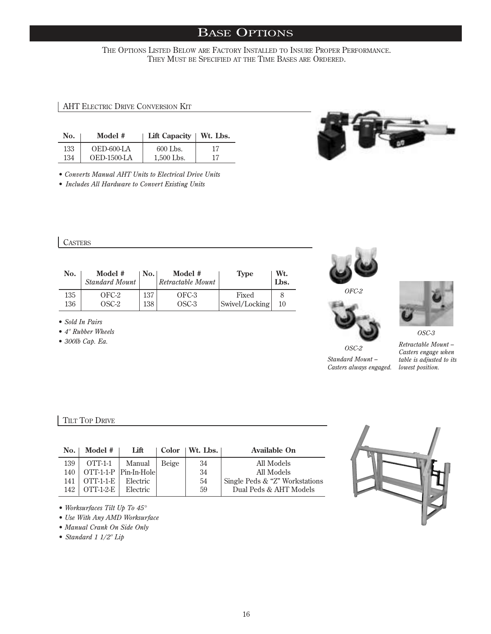THE OPTIONS LISTED BELOW ARE FACTORY INSTALLED TO INSURE PROPER PERFORMANCE. THEY MUST BE SPECIFIED AT THE TIME BASES ARE ORDERED.

AHT ELECTRIC DRIVE CONVERSION KIT

| No. | Model #        | Lift Capacity   Wt. Lbs. |    |
|-----|----------------|--------------------------|----|
| 133 | $OED-600-I.A$  | 600 Lbs.                 | 17 |
| 134 | $OED-1500-I$ A | $1.500$ Lbs.             | 17 |

*• Converts Manual AHT Units to Electrical Drive Units*

*• Includes All Hardware to Convert Existing Units*



| No. | Model #<br><b>Standard Mount</b> | No. | Model #<br>Retractable Mount | Type           | Wt.<br>Lbs. |
|-----|----------------------------------|-----|------------------------------|----------------|-------------|
| 135 | OFC-2                            | 137 | OFC-3                        | Fixed          | 10          |
| 136 | OSC-2                            | 138 | OSC-3                        | Swivel/Locking |             |

*• Sold In Pairs*

*• 4" Rubber Wheels*

*• 300lb Cap. Ea.*





*OFC-2*



*Standard Mount – Casters always engaged.*

*OSC-2*



*OSC-3*

*Retractable Mount – Casters engage when table is adjusted to its lowest position.*

## TILT TOP DRIVE

| No. | Model #                               | Lift                   |       | $Color \mid Wt. Lbs. \mid$ | <b>Available On</b>            |
|-----|---------------------------------------|------------------------|-------|----------------------------|--------------------------------|
| 139 | $\overline{\text{OTT-1-1}}$           | Manual                 | Beige | 34                         | All Models                     |
| 140 |                                       | OTT-1-1-P Pin-In-Holel |       | 34                         | All Models                     |
| 141 | $\overline{OTT}$ -1-1- $\overline{E}$ | Electric               |       | 54                         | Single Peds & "Z" Workstations |
| 142 | $\overline{OTT}$ -1-2-E               | Electric               |       | 59                         | Dual Peds & AHT Models         |
|     |                                       |                        |       |                            |                                |



*• Worksurfaces Tilt Up To 45°*

*• Use With Any AMD Worksurface*

*• Manual Crank On Side Only*

*• Standard 1 1/2" Lip*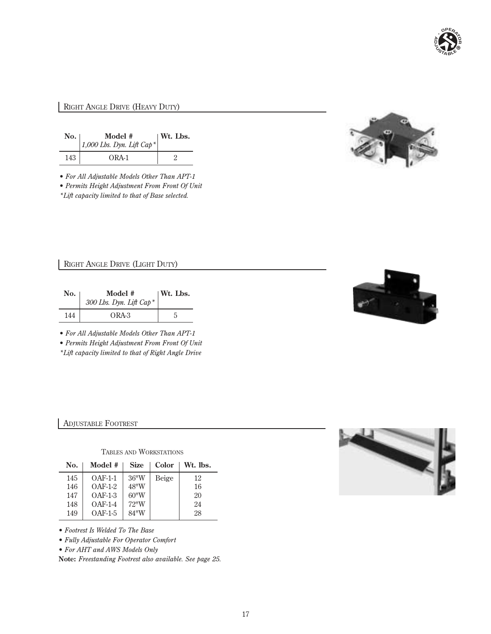

## RIGHT ANGLE DRIVE (HEAVY DUTY)

| $\bf{No.}$ | Model #<br>$1,000$ Lbs. Dyn. Lift Cap <sup>*</sup> | $\vert$ Wt. Lbs. |
|------------|----------------------------------------------------|------------------|
| 143        | $ORA-1$                                            |                  |

*• For All Adjustable Models Other Than APT-1*

*• Permits Height Adjustment From Front Of Unit \*Lift capacity limited to that of Base selected.*



RIGHT ANGLE DRIVE (LIGHT DUTY)

| No. | Model #<br>300 Lbs. Dyn. Lift Cap* | $\mathbf{W}$ t. Lbs. |
|-----|------------------------------------|----------------------|
| 144 | ORA-3                              |                      |

*• For All Adjustable Models Other Than APT-1*

*• Permits Height Adjustment From Front Of Unit*

*\*Lift capacity limited to that of Right Angle Drive*



### ADJUSTABLE FOOTREST

### TABLES AND WORKSTATIONS

| No. | Model #   | <b>Size</b> | Color | Wt. lbs. |
|-----|-----------|-------------|-------|----------|
| 145 | $OAF-1-1$ | 36''W       | Beige | 12       |
| 146 | $OAF-1-2$ | 48"W        |       | 16       |
| 147 | $OAF-1-3$ | 60''W       |       | 20       |
| 148 | $OAF-1-4$ | 72"W        |       | 24       |
| 149 | $OAF-1-5$ | 84"W        |       | 28       |

*• Footrest Is Welded To The Base*

*• Fully Adjustable For Operator Comfort*

*• For AHT and AWS Models Only*

**Note:** *Freestanding Footrest also available. See page 25.*

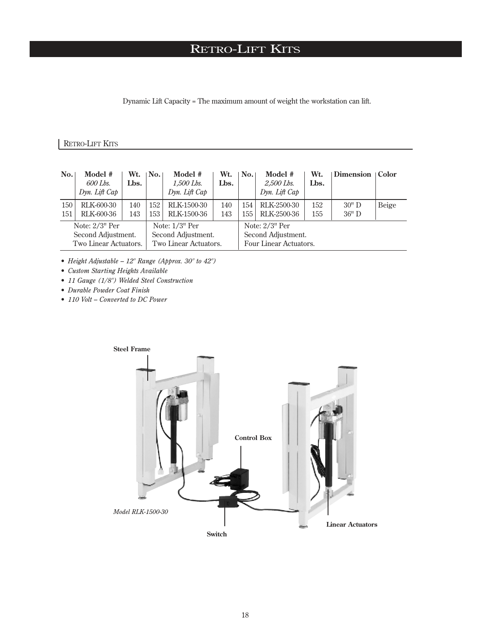# RETRO-LIFT KITS

Dynamic Lift Capacity = The maximum amount of weight the workstation can lift.

## RETRO-LIFT KITS

| No.                                                                                                                                                        | Model #<br>600 Lbs.<br>Dyn. Lift Cap | Wt.<br>Lbs. | No.        | Model #<br>1,500 Lbs.<br>Dyn. Lift Cap                                       | Wt.<br>Lbs. | No.        | Model #<br>2,500 Lbs.<br>Dyn. Lift Cap | Wt.<br>Lbs. | Dimension   Color |       |
|------------------------------------------------------------------------------------------------------------------------------------------------------------|--------------------------------------|-------------|------------|------------------------------------------------------------------------------|-------------|------------|----------------------------------------|-------------|-------------------|-------|
| 150<br>151                                                                                                                                                 | RLK-600-30<br>RLK-600-36             | 140<br>143  | 152<br>153 | RLK-1500-30<br>RLK-1500-36                                                   | 140<br>143  | 154<br>155 | RLK-2500-30<br>RLK-2500-36             | 152<br>155  | 30"D<br>$36"$ D   | Beige |
| Note: $2/3$ <sup>"</sup> Per<br>Note: $1/3$ <sup>"</sup> Per<br>Second Adjustment.<br>Second Adjustment.<br>Two Linear Actuators.<br>Two Linear Actuators. |                                      |             |            | Note: $2/3$ <sup>"</sup> Per<br>Second Adjustment.<br>Four Linear Actuators. |             |            |                                        |             |                   |       |

*• Height Adjustable – 12" Range (Approx. 30" to 42")*

*• Custom Starting Heights Available*

*• 11 Gauge (1/8") Welded Steel Construction* 

*• Durable Powder Coat Finish*

*• 110 Volt – Converted to DC Power*

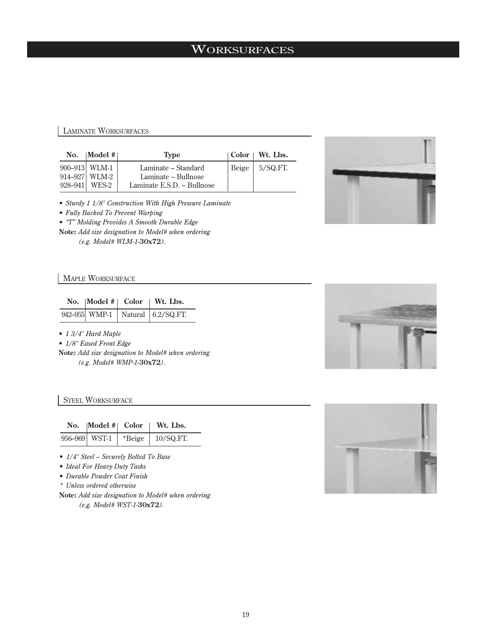## **WORKSURFACES**

## LAMINATE WORKSURFACES

| No. | $\mathbf{Model}$ #                              | <b>Type</b>                                                              | $\vert$ Color $\vert$ Wt. Lbs.                   |
|-----|-------------------------------------------------|--------------------------------------------------------------------------|--------------------------------------------------|
|     | 900–913 WLM-1<br>914–927 WLM-2<br>928–941 WES-2 | Laminate – Standard<br>Laminate – Bullnose<br>Laminate E.S.D. - Bullnose | $\left  \right $ Beige $\left  \right $ 5/SQ.FT. |



*• Sturdy 1 1/8" Construction With High Pressure Laminate*

*• Fully Backed To Prevent Warping*

*• "T" Molding Provides A Smooth Durable Edge*

**Note:** *Add size designation to Model# when ordering (e.g. Model# WLM-1-***30x72***).*

### MAPLE WORKSURFACE

#### No. |Model #| Color | Wt. Lbs.

|  | 942–955 WMP-1   Natural   6.2/SQ.FT. |
|--|--------------------------------------|

*• 1 3/4" Hard Maple*

*• 1/8" Eased Front Edge*

**Note:** *Add size designation to Model# when ordering (e.g. Model# WMP-1-***30x72***).*



#### **STEEL WORKSURFACE**

| No.  Model #  Color | $ W_t$ . Lbs.                        |
|---------------------|--------------------------------------|
|                     | 956–969   WST-1   *Beige   10/SQ.FT. |

*• 1/4" Steel – Securely Bolted To Base*

*• Ideal For Heavy Duty Tasks*

*• Durable Powder Coat Finish*

*\* Unless ordered otherwise*

**Note:** *Add size designation to Model# when ordering (e.g. Model# WST-1-***30x72***).*

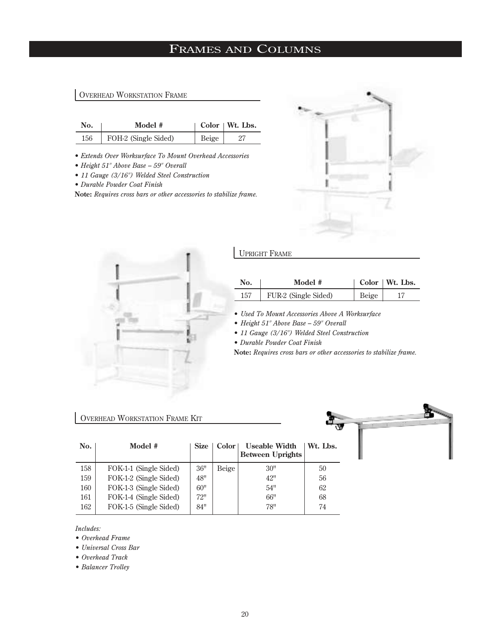# FRAMES AND COLUMNS

### OVERHEAD WORKSTATION FRAME

| No. | Model #              |       | $\vert$ Color $\vert$ Wt. Lbs. |
|-----|----------------------|-------|--------------------------------|
| 156 | FOH-2 (Single Sided) | Beige |                                |

*• Extends Over Worksurface To Mount Overhead Accessories*

- *Height 51" Above Base 59" Overall*
- *11 Gauge (3/16") Welded Steel Construction*

*• Durable Powder Coat Finish*

**Note:** *Requires cross bars or other accessories to stabilize frame.*





### UPRIGHT FRAME

| No. | Model #              |       | Color   Wt. Lbs. |
|-----|----------------------|-------|------------------|
| 157 | FUR-2 (Single Sided) | Beige |                  |

*• Used To Mount Accessories Above A Worksurface*

*• Height 51" Above Base – 59" Overall*

*• 11 Gauge (3/16") Welded Steel Construction* 

*• Durable Powder Coat Finish*

**Note:** *Requires cross bars or other accessories to stabilize frame.*

## OVERHEAD WORKSTATION FRAME KIT



| No. | Model #                | <b>Size</b> | Color | Useable Width<br><b>Between Uprights</b> | Wt. Lbs. |
|-----|------------------------|-------------|-------|------------------------------------------|----------|
| 158 | FOK-1-1 (Single Sided) | 36"         | Beige | 30"                                      | 50       |
| 159 | FOK-1-2 (Single Sided) | 48"         |       | 42"                                      | 56       |
| 160 | FOK-1-3 (Single Sided) | 60"         |       | 54"                                      | 62       |
| 161 | FOK-1-4 (Single Sided) | 72"         |       | 66"                                      | 68       |
| 162 | FOK-1-5 (Single Sided) | 84"         |       | 78"                                      | 74       |

*Includes:* 

*• Overhead Frame* 

*• Universal Cross Bar*

*• Overhead Track* 

*• Balancer Trolley*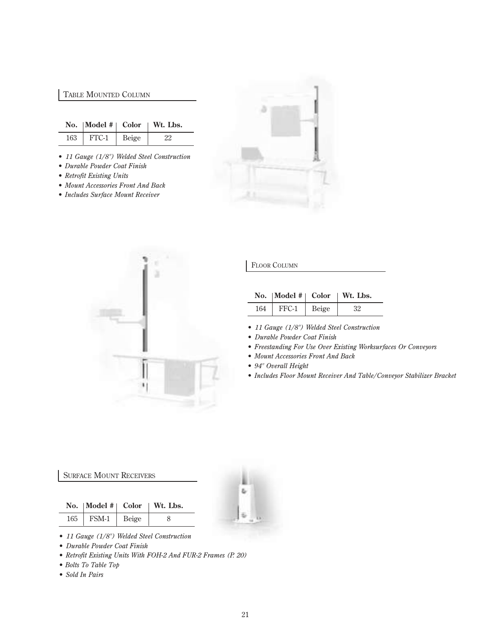### TABLE MOUNTED COLUMN

|     | No.   Model $#$   Color |       | Wt. Lbs. |
|-----|-------------------------|-------|----------|
| 163 | FTC-1                   | Beige | 22       |

- *11 Gauge (1/8") Welded Steel Construction*
- *Durable Powder Coat Finish*
- *Retrofit Existing Units*
- *Mount Accessories Front And Back*
- *Includes Surface Mount Receiver*





#### FLOOR COLUMN

|     |       |       | No.   Model $#$   Color   Wt. Lbs. |
|-----|-------|-------|------------------------------------|
| 164 | FFC-1 | Beige | 32                                 |

- *11 Gauge (1/8") Welded Steel Construction*
- *Durable Powder Coat Finish*
- *Freestanding For Use Over Existing Worksurfaces Or Conveyors*
- *Mount Accessories Front And Back*
- *94" Overall Height*
- *Includes Floor Mount Receiver And Table/Conveyor Stabilizer Bracket*

#### SURFACE MOUNT RECEIVERS

|                       | No.   Model $#$   Color   Wt. Lbs. |
|-----------------------|------------------------------------|
| $165$   FSM-1   Beige |                                    |



- *11 Gauge (1/8") Welded Steel Construction*
- *Durable Powder Coat Finish*
- *Retrofit Existing Units With FOH-2 And FUR-2 Frames (P. 20)*
- *Bolts To Table Top*
- *Sold In Pairs*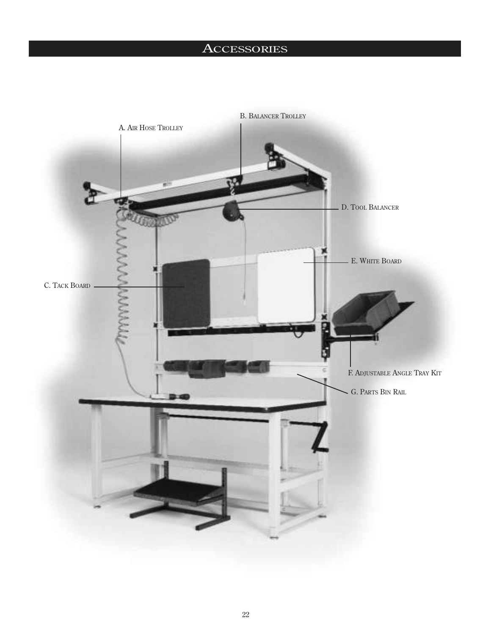# **ACCESSORIES**

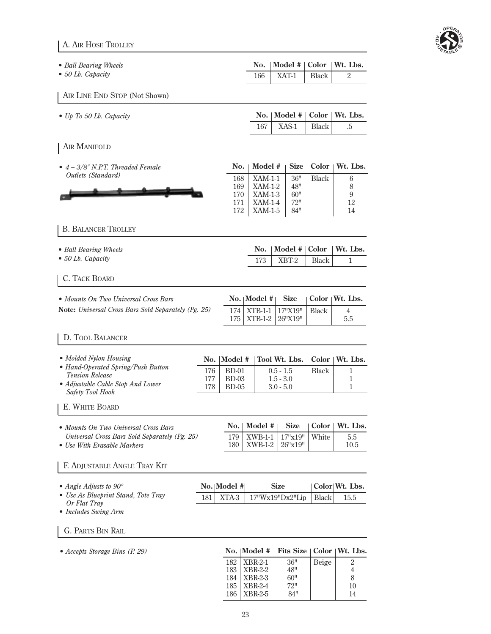| ē<br>s, | E,<br>ŕ. | æ, |
|---------|----------|----|
|         |          |    |

A. AIR HOSE TROLLEY

| • Ball Bearing Wheels     | No.   Model $#$   Color   Wt. Lbs. |  |
|---------------------------|------------------------------------|--|
| $\bullet$ 50 Lb. Capacity | $166$   XAT-1   Black              |  |

AIR LINE END STOP (Not Shown)

| $\bullet$ Up To 50 Lb. Capacity | No.   Model $#$   Color   Wt. Lbs. |  |
|---------------------------------|------------------------------------|--|
|                                 | $167$   XAS-1   Black              |  |

- AIR MANIFOLD
- *4 3/8" N.P.T. Threaded Female Outlets (Standard)* No. | Model # | Size | Color | Wt. Lbs. 168 XAM-1-1 36" Black 6<br>169 XAM-1-2 48" 8 169 XAM-1-2 48" 8<br>170 XAM-1-3 60" 9  $\begin{array}{|c|c|c|c|c|}\n\hline\n170 & XAM-1-3 & 60" & & 9 \\
171 & XAM-1-4 & 72" & & 12\n\end{array}$ 171 XAM-1-4 72" 12<br>172 XAM-1-5 84" 14  $XAM-1-5$

#### B. BALANCER TROLLEY

| • Ball Bearing Wheels     | No.   Model $#$   Color   Wt. Lbs. |       |  |
|---------------------------|------------------------------------|-------|--|
| $\bullet$ 50 Lb. Capacity | $XBT-2$                            | Black |  |

## C. TACK BOARD

| • Mounts On Two Universal Cross Bars                       |                                                                |  | No.   Model $#$   Size   Color   Wt. Lbs. |
|------------------------------------------------------------|----------------------------------------------------------------|--|-------------------------------------------|
| <b>Note:</b> Universal Cross Bars Sold Separately (Pg. 25) | 174   XTB-1-1   17"X19"   Black  <br>$175$   XTB-1-2   26"X19" |  | 5.5                                       |

### D. TOOL BALANCER

| • Hand-Operated Spring/Push Button<br>176<br>$BD-01$<br><b>Black</b><br>$0.5 - 1.5$<br><b>Tension Release</b><br>BD-03<br>$1.5 - 3.0$<br>• Adjustable Cable Stop And Lower<br><b>BD-05</b><br>$3.0 - 5.0$<br>178 | • Molded Nylon Housing  |  | No.  Model #   Tool Wt. Lbs.   Color   Wt. Lbs. |  |
|------------------------------------------------------------------------------------------------------------------------------------------------------------------------------------------------------------------|-------------------------|--|-------------------------------------------------|--|
|                                                                                                                                                                                                                  |                         |  |                                                 |  |
|                                                                                                                                                                                                                  | <b>Safety Tool Hook</b> |  |                                                 |  |

### E. WHITE BOARD

| • Mounts On Two Universal Cross Bars          | $\text{No.} \mid \text{Model} \# \mid$ |  | $\blacksquare$ Size $\blacksquare$ Color $\blacksquare$ Wt. Lbs. |
|-----------------------------------------------|----------------------------------------|--|------------------------------------------------------------------|
| Universal Cross Bars Sold Separately (Pg. 25) | 179   XWB-1-1   17"x19"   White        |  | $5.5^{\circ}$                                                    |
| • Use With Erasable Markers                   | 180   XWB-1-2   26"x19"                |  | 10.5                                                             |

### F. ADJUSTABLE ANGLE TRAY KIT

| • Angle Adjusts to $90^\circ$                       | No.   Model # |  | <b>Size</b>                              | Color Wt. Lbs. |
|-----------------------------------------------------|---------------|--|------------------------------------------|----------------|
| • Use As Blueprint Stand, Tote Tray<br>Or Flat Tray |               |  | 181   XTA-3   17" $Wx19"Dx2"Lip$   Black | 15.5           |

*• Includes Swing Arm*

### G. PARTS BIN RAIL

## • Accepts Storage Bins (P. 29) **No. | Model # | Fits Size**  $|$  Color  $|$  Wt. Lbs.

| 182 | XBR-2-1                     | 36" | Beige |    |
|-----|-----------------------------|-----|-------|----|
| 183 | $\overline{\text{XBR-2-2}}$ | 48" |       |    |
| 184 | $\overline{\text{XBR-2-3}}$ | 60" |       | 8  |
|     | $185$   XBR-2-4             | 72" |       | 10 |
| 186 | XBR-2-5                     | 84" |       | 14 |
|     |                             |     |       |    |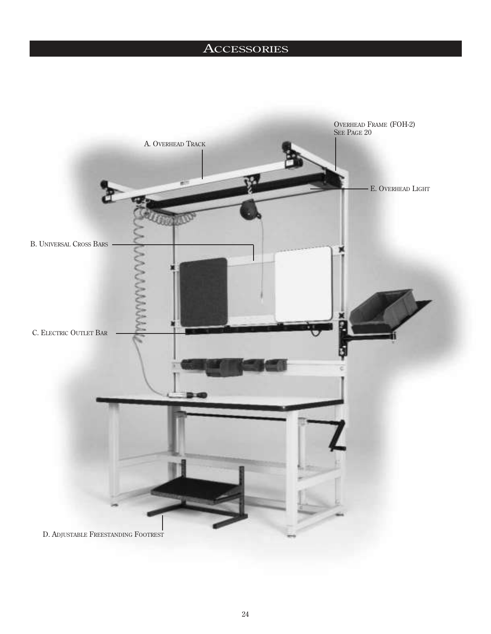## **ACCESSORIES**

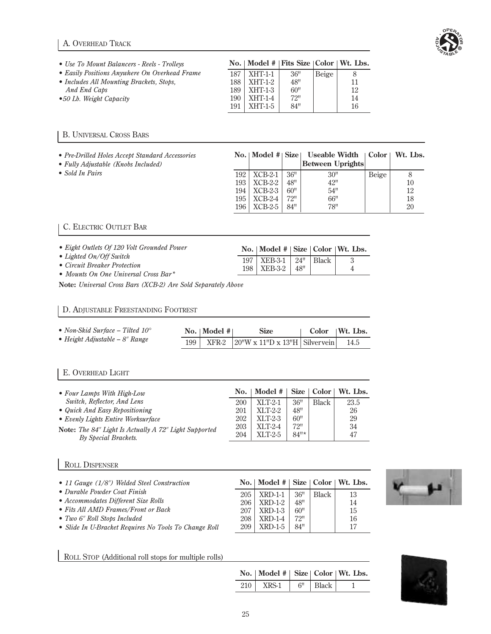## A. OVERHEAD TRACK



| • Use To Mount Balancers - Reels - Trolleys   |      | No.   Model #   Fits Size $ Color Wt$ . Lbs. |     |       |    |
|-----------------------------------------------|------|----------------------------------------------|-----|-------|----|
| • Easily Positions Anywhere On Overhead Frame | 187  | $XHT-1-1$                                    | 36" | Beige | 8  |
| • Includes All Mounting Brackets, Stops,      | 188  | XHT-1-2                                      | 48" |       | 11 |
| And End Caps                                  | 189  | XHT-1-3                                      | 60" |       | 12 |
| •50 Lb. Weight Capacity                       | 190. | $XHT-1-4$                                    | 72" |       | 14 |
|                                               | 191  | XHT-1-5                                      | 84" |       | 16 |

## B. UNIVERSAL CROSS BARS

- *Pre-Drilled Holes Accept Standard Accessories*
- *Fully Adjustable (Knobs Included)*
- *Sold In Pairs*

|     |           |     | No.   Model $#$   Size   Useable Width   Color   Wt. Lbs. |       |    |
|-----|-----------|-----|-----------------------------------------------------------|-------|----|
|     |           |     | <b>Between Uprights</b>                                   |       |    |
| 192 | $XCB-2-1$ | 36" | 30"                                                       | Beige |    |
| 193 | $XCB-2-2$ | 48" | 42"                                                       |       | 10 |
| 194 | $XCB-2-3$ | 60" | 54"                                                       |       | 12 |
| 195 | $XCB-2-4$ | 72" | 66"                                                       |       | 18 |
| 196 | $XCB-2-5$ | 84" | 78"                                                       |       | 20 |

No. | Model # | Size | Color | Wt. Lbs. 197 XEB-3-1 24" Black 3<br>198 XEB-3-2 48" 4  $XEB-3-2 | 48" | 4$ 

## C. ELECTRIC OUTLET BAR

- *Eight Outlets Of 120 Volt Grounded Power*
- *Lighted On/Off Switch*
- *Circuit Breaker Protection*
- *Mounts On One Universal Cross Bar\**

**Note:** *Universal Cross Bars (XCB-2) Are Sold Separately Above*

#### D. ADJUSTABLE FREESTANDING FOOTREST

| • Non-Skid Surface – Tilted $10^{\circ}$ |     | No.   Model # | <b>Size</b>                           | $\perp$ Color $\parallel$ Wt. Lbs. |      |
|------------------------------------------|-----|---------------|---------------------------------------|------------------------------------|------|
| • Height Adjustable $-8$ " Range         | 199 |               | $XFR-2$ 20"W x 11"D x 13"H Silvervein |                                    | 14.5 |

### E. OVERHEAD LIGHT

| • Four Lamps With High-Low                                   | No. | Model #   Size   Color   Wt. Lbs. |         |       |      |
|--------------------------------------------------------------|-----|-----------------------------------|---------|-------|------|
| Switch, Reflector, And Lens                                  | 200 | $XLT-2-1$                         | 36"     | Black | 23.5 |
| • Quick And Easy Repositioning                               | 201 | $XLT-2-2$                         | 48"     |       | 26   |
| • Evenly Lights Entire Worksurface                           | 202 | $XLT-2-3$                         | 60"     |       | 29   |
| <b>Note:</b> The 84" Light Is Actually A 72" Light Supported | 203 | $XLT-2-4$                         | 72"     |       | 34   |
| By Special Brackets.                                         | 204 | $XLT-2-5$                         | $84"$ * |       | 47   |

### ROLL DISPENSER

| • 11 Gauge (1/8") Welded Steel Construction           |     | No.   Model $#$   Size   Color   Wt. Lbs. |     |       |    |
|-------------------------------------------------------|-----|-------------------------------------------|-----|-------|----|
| • Durable Powder Coat Finish                          | 205 | $XRD-1-1$                                 | 36" | Black | 13 |
| • Accommodates Different Size Rolls                   | 206 | XRD-1-2                                   | 48" |       | 14 |
| • Fits All AMD Frames/Front or Back                   | 207 | XRD-1-3                                   | 60" |       | 15 |
| • Two 6" Roll Stops Included                          | 208 | $XRD-1-4$                                 | 72" |       | 16 |
| • Slide In U-Bracket Requires No Tools To Change Roll | 209 | <b>XRD-1-5</b>                            | 84" |       | 17 |

ROLL STOP (Additional roll stops for multiple rolls)

| No.   Model #   Size   Color   Wt. Lbs. |            |  |
|-----------------------------------------|------------|--|
| $210$ XRS-1                             | $6"$ Black |  |



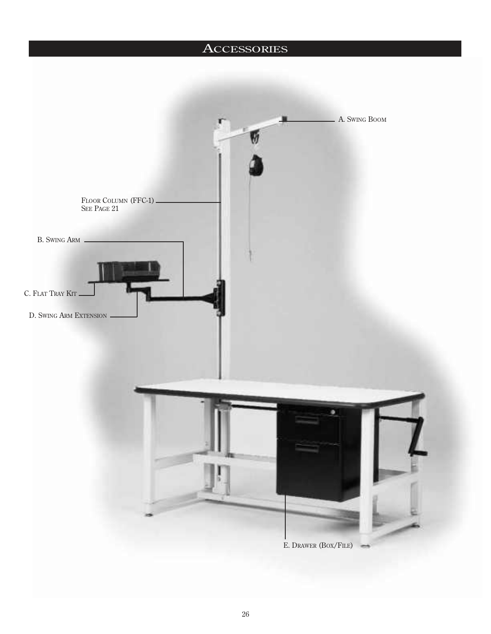# **ACCESSORIES**

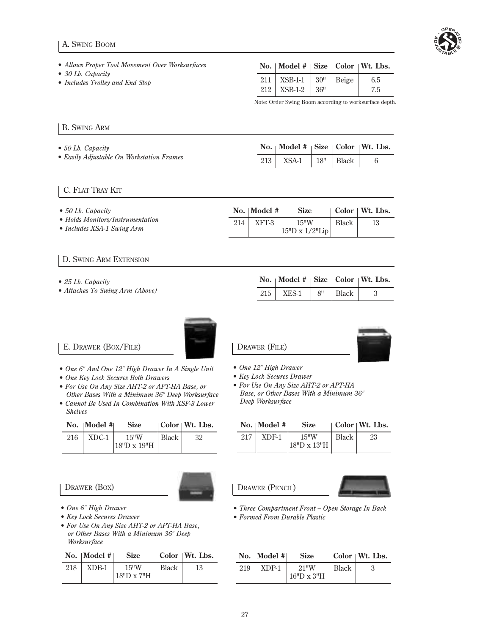## A. SWING BOOM



- *Allows Proper Tool Movement Over Worksurfaces*
- *30 Lb. Capacity*
- *Includes Trolley and End Stop*

| No.   Model #   Size   Color   Wt. Lbs.           |       |            |
|---------------------------------------------------|-------|------------|
| 211   XSB-1-1   $30''$   Beige<br>$212$   XSB-1-2 | 1.36" | 6.5<br>7.5 |

Note: Order Swing Boom according to worksurface depth.

## B. SWING ARM

- *50 Lb. Capacity*
- *Easily Adjustable On Workstation Frames*

|  | No.   Model #   Size   Color   Wt. Lbs. |  |  |
|--|-----------------------------------------|--|--|
|  | $213$ XSA-1   $18"$   Black             |  |  |

## C. FLAT TRAY KIT

| $\bullet$ 50 Lb. Capacity                                      |     | $\text{No.}$   Model # | <b>Size</b>                     |              | Color   Wt. Lbs. |
|----------------------------------------------------------------|-----|------------------------|---------------------------------|--------------|------------------|
| • Holds Monitors/Instrumentation<br>• Includes XSA-1 Swing Arm | 214 | XFT-3                  | 15"W<br>$ 15"D \times 1/2"Lip $ | <b>Black</b> | 13               |

### D. SWING ARM EXTENSION

- *25 Lb. Capacity*
- *Attaches To Swing Arm (Above)*

|  | No.   Model #   Size   Color   Wt. Lbs |  |                        |  |  |
|--|----------------------------------------|--|------------------------|--|--|
|  | $215$ XES-1                            |  | 8 <sup>n</sup>   Black |  |  |
|  |                                        |  |                        |  |  |

## E. DRAWER (BOX/FILE)

- *One 6" And One 12" High Drawer In A Single Unit*
- *One Key Lock Secures Both Drawers*
- *For Use On Any Size AHT-2 or APT-HA Base, or Other Bases With a Minimum 36" Deep Worksurface*
- *Cannot Be Used In Combination With XSF-3 Lower Shelves*

|     | No.   Model $#$ | <b>Size</b>                 |       | Color Wt. Lbs. |
|-----|-----------------|-----------------------------|-------|----------------|
| 216 |                 | $XDC-1$ 15"W<br>18"D x 19"H | Black | -32            |

DRAWER (BOX)

*Worksurface*



- *One 6" High Drawer*
- *Key Lock Secures Drawer • For Use On Any Size AHT-2 or APT-HA Base, or Other Bases With a Minimum 36" Deep*

| No.   Model $#$ | <b>Size</b> | $\vert$ Color $\vert$ Wt. Lbs. |
|-----------------|-------------|--------------------------------|
|                 |             |                                |

| 218 | XDB-1 | 15"W       | Black |  |
|-----|-------|------------|-------|--|
|     |       | 18"D x 7"H |       |  |

| DRAWER (FILE) |  |
|---------------|--|



- *One 12" High Drawer*
- *Key Lock Secures Drawer*
- *For Use On Any Size AHT-2 or APT-HA Base, or Other Bases With a Minimum 36" Deep Worksurface*

|     | No.   Model $#$ | Size        |              | $\vert$ Color $\vert$ Wt. Lbs. |
|-----|-----------------|-------------|--------------|--------------------------------|
| 217 | XDF-1           | 15"W        | <b>Black</b> | 23                             |
|     |                 | 18"D x 13"H |              |                                |

DRAWER (PENCIL)



- *Three Compartment Front Open Storage In Back*
- *Formed From Durable Plastic*

|     | No.   Model # $ $ | <b>Size</b>                       |              | $\vert$ Color $\vert$ Wt. Lbs. |
|-----|-------------------|-----------------------------------|--------------|--------------------------------|
| 219 | XDP-1             | $21^{\mathrm{H}}$ W<br>16"D x 3"H | <b>Black</b> |                                |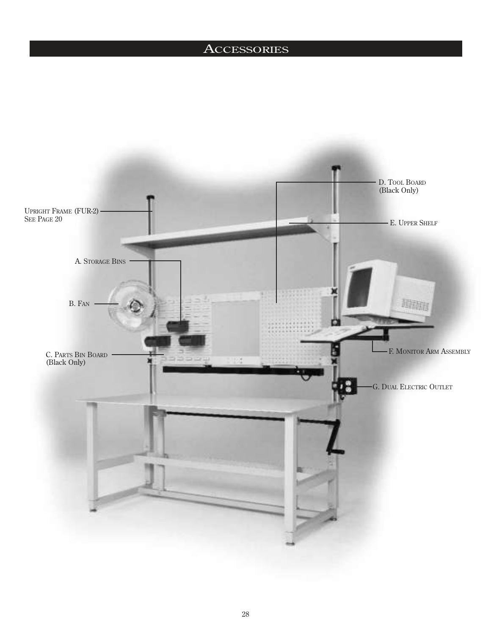## **ACCESSORIES**

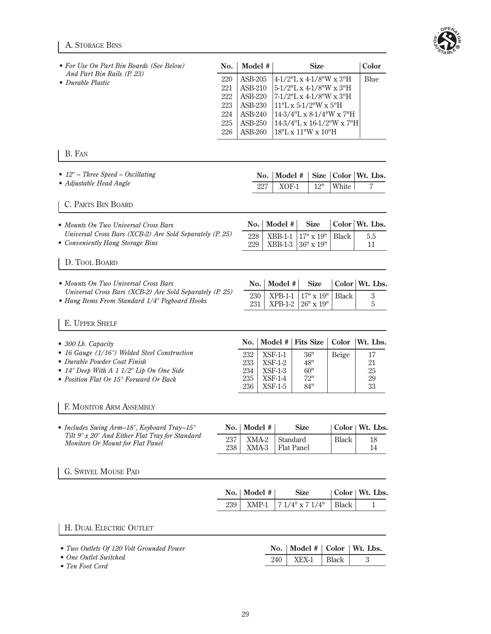## A. STORAGE BINS



| And Part Bin Rails (P. 23)<br>220<br>• Durable Plastic<br>221<br>222<br>223<br>224                                                                                                                     | ASB-205<br><b>ASB-210</b><br>ASB-220<br>ASB-230<br>ASB-240<br>ASB-250 |                                                                          | 5-1/2"L x 4-1/8"W x 3"H                             | 4-1/2"L x 4-1/8"W x 3"H                                                                      | Blue                                   |
|--------------------------------------------------------------------------------------------------------------------------------------------------------------------------------------------------------|-----------------------------------------------------------------------|--------------------------------------------------------------------------|-----------------------------------------------------|----------------------------------------------------------------------------------------------|----------------------------------------|
| 225<br>226                                                                                                                                                                                             | ASB-260                                                               |                                                                          | $11"L x 5-1/2"W x 5"H$<br>18"L x 11"W x 10"H        | 7-1/2"L x 4-1/8"W x 3"H<br>$14-3/4"L \times 8-1/4"W \times 7"H$<br>14-3/4"L x 16-1/2"W x 7"H |                                        |
| B. FAN                                                                                                                                                                                                 |                                                                       |                                                                          |                                                     |                                                                                              |                                        |
| • $12''$ – Three Speed – Oscillating<br>• Adjustable Head Angle                                                                                                                                        | No.<br>227                                                            | Model #<br>$XOF-1$                                                       | <b>Size</b><br>12"                                  | Color<br>White                                                                               | Wt. Lbs.<br>7                          |
| <b>C. PARTS BIN BOARD</b>                                                                                                                                                                              |                                                                       |                                                                          |                                                     |                                                                                              |                                        |
| • Mounts On Two Universal Cross Bars<br>Universal Cross Bars (XCB-2) Are Sold Separately (P. 25)<br>• Conveniently Hang Storage Bins                                                                   | No.<br>228<br>229                                                     | Model #<br>$XBB-1-1$<br>$XBB-1-3$                                        | <b>Size</b><br>$17" \times 19"$<br>$36" \times 19"$ | Black                                                                                        | Color   Wt. Lbs.<br>5.5<br>11          |
| D. TOOL BOARD                                                                                                                                                                                          |                                                                       |                                                                          |                                                     |                                                                                              |                                        |
| • Mounts On Two Universal Cross Bars<br>Universal Cross Bars (XCB-2) Are Sold Separately (P. 25)<br>• Hang Items From Standard 1/4" Pegboard Hooks                                                     | No.<br>230<br>231                                                     | Model #<br>$XPB-1-1$<br>$XPB-1-2$                                        | <b>Size</b><br>$17" \times 19"$<br>26" x 19"        | <b>Black</b>                                                                                 | Color   Wt. Lbs.<br>3<br>5             |
| E. UPPER SHELF                                                                                                                                                                                         |                                                                       |                                                                          |                                                     |                                                                                              |                                        |
| $\bullet$ 300 Lb. Capacity<br>• 16 Gauge (1/16") Welded Steel Construction<br>• Durable Powder Coat Finish<br>• $14$ " Deep With A 1 $1/2$ " Lip On One Side<br>• Position Flat Or 15° Forward Or Back | No.<br>232<br>233<br>234<br>235<br>236                                | Model #<br>$XSF-1-1$<br>$XSF-1-2$<br>$XSF-1-3$<br>$XSF-1-4$<br>$XSF-1-5$ | <b>Fits Size</b><br>36"<br>48"<br>60"<br>72"<br>84" | Color<br>Beige                                                                               | Wt. Lbs.<br>17<br>21<br>25<br>29<br>33 |
| F. MONITOR ARM ASSEMBLY                                                                                                                                                                                |                                                                       |                                                                          |                                                     |                                                                                              |                                        |
| • Includes Swing Arm-18", Keyboard Tray-15 $^{\circ}$<br>No.<br>Tilt 9" x 20" And Either Flat Tray for Standard<br>237<br>Monitors Or Mount for Flat Panel<br>238                                      | Model #<br>XMA-2<br>XMA-3                                             | Standard<br><b>Flat Panel</b>                                            | <b>Size</b>                                         | <b>Black</b>                                                                                 | Color   Wt. Lbs.<br>18<br>14           |
| <b>G. SWIVEL MOUSE PAD</b>                                                                                                                                                                             |                                                                       |                                                                          |                                                     |                                                                                              |                                        |
| No.                                                                                                                                                                                                    | Model #                                                               |                                                                          | <b>Size</b>                                         |                                                                                              | Color   Wt. Lbs.                       |
| 239                                                                                                                                                                                                    | XMP-1                                                                 |                                                                          | $71/4"$ x $71/4"$                                   | Black                                                                                        | $\mathbf 1$                            |
| H. DUAL ELECTRIC OUTLET                                                                                                                                                                                |                                                                       |                                                                          |                                                     |                                                                                              |                                        |
| • Two Outlets Of 120 Volt Grounded Power<br>• One Outlet Switched<br>• Ten Foot Cord                                                                                                                   |                                                                       | No.<br>240                                                               | Model #<br>XEX-1                                    | Color<br><b>Black</b>                                                                        | Wt. Lbs.<br>$\sqrt{3}$                 |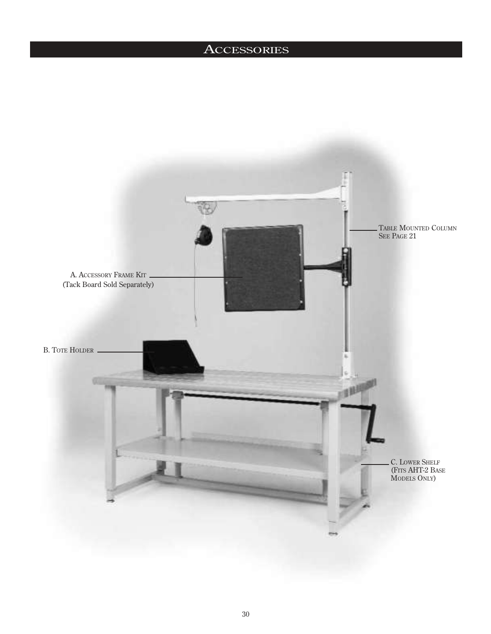## **ACCESSORIES**

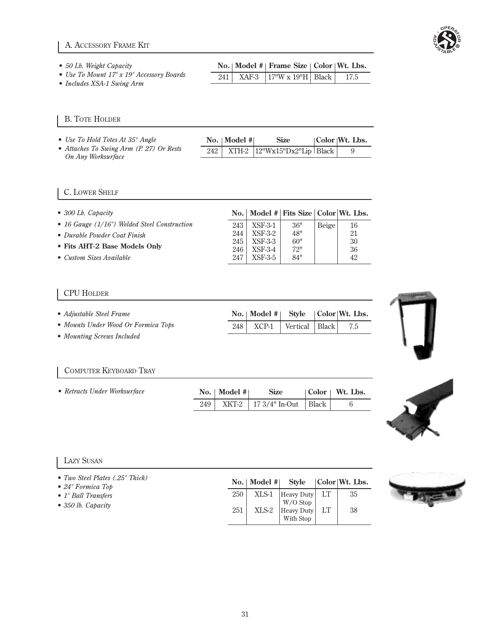

- *50 Lb. Weight Capacity*
- *Use To Mount 17" x 19" Accessory Boards*

| No.   Model #   Frame Size   Color   Wt. Lbs. |                                          |  |  |  |
|-----------------------------------------------|------------------------------------------|--|--|--|
|                                               | 241   XAF-3   17"W x 19"H   Black   17.5 |  |  |  |

No. | Model # | Style | Color | Wt. Lbs. 248 XCP-1 Vertical Black 7.5

*• Includes XSA-1 Swing Arm*

## B. TOTE HOLDER

| • Use To Hold Totes At $35^{\circ}$ Angle                      | No.   Model # | Size                                                                                                  | Color Wt. Lbs. |
|----------------------------------------------------------------|---------------|-------------------------------------------------------------------------------------------------------|----------------|
| • Attaches To Swing Arm (P. 27) Or Rests<br>On Any Worksurface |               | 242   XTH-2 $ 12^{\prime\prime}\text{Wx15}^{\prime\prime}\text{Dx2}^{\prime\prime}\text{Lip}$   Black |                |

## C. LOWER SHELF

| $\bullet$ 300 Lb. Capacity                   |                  |                    | No.   Model #   Fits Size   Color   Wt. Lbs. |       |          |
|----------------------------------------------|------------------|--------------------|----------------------------------------------|-------|----------|
| • 16 Gauge (1/16") Welded Steel Construction | 243 <sup> </sup> | <b>XSF-3-1</b>     | 36"                                          | Beige | 16       |
| • Durable Powder Coat Finish                 | 244              | XSF-3-2            | 48"                                          |       | 21       |
| • Fits AHT-2 Base Models Only                | 245<br>246       | XSF-3-3<br>XSF-3-4 | 60"<br>72"                                   |       | 30<br>36 |
| • Custom Sizes Available                     | 247              | XSF-3-5            | 84"                                          |       | 42       |

## CPU HOLDER

|  | • Adjustable Steel Frame |  |  |  |
|--|--------------------------|--|--|--|
|--|--------------------------|--|--|--|

- *Mounts Under Wood Or Formica Tops*
- **•** *Mounting Screws Included*

## COMPUTER KEYBOARD TRAY

| • Retracts Under Worksurface | No.   Model # | <b>Size</b>                          | $\vert$ Color $\vert$ Wt. Lbs. |
|------------------------------|---------------|--------------------------------------|--------------------------------|
|                              |               | 249   XKT-2   17 3/4" In-Out   Black |                                |



## LAZY SUSAN

| • Two Steel Plates (.25" Thick)<br>$\bullet$ 24" Formica Top |     | $\text{No.} \mid \text{Model} \# \mid$ |                                               |    | Style Color Wt. Lbs. |
|--------------------------------------------------------------|-----|----------------------------------------|-----------------------------------------------|----|----------------------|
| • 1" Ball Transfers                                          | 250 | XLS-1                                  | Heavy Duty  LT                                |    | 35                   |
| $\bullet$ 350 lb. Capacity                                   | 251 |                                        | $W/O$ Stop<br>XLS-2   Heavy Duty<br>With Stop | LT | 38                   |

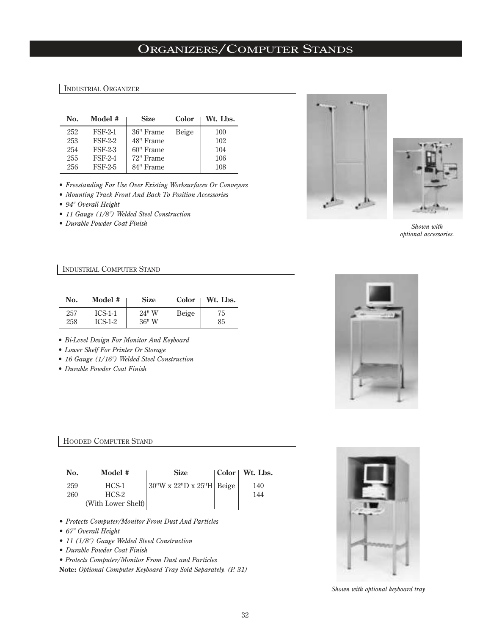## ORGANIZERS/COMPUTER STANDS

#### INDUSTRIAL ORGANIZER

| No. | Model #        | <b>Size</b> | Color | Wt. Lbs. |
|-----|----------------|-------------|-------|----------|
| 252 | <b>FSF-2-1</b> | 36" Frame   | Beige | 100      |
| 253 | <b>FSF-2-2</b> | 48" Frame   |       | 102      |
| 254 | <b>FSF-2-3</b> | 60" Frame   |       | 104      |
| 255 | <b>FSF-2-4</b> | 72" Frame   |       | 106      |
| 256 | <b>FSF-2-5</b> | 84" Frame   |       | 108      |

- *Freestanding For Use Over Existing Worksurfaces Or Conveyors*
- *Mounting Track Front And Back To Position Accessories*
- *94" Overall Height*
- *11 Gauge (1/8") Welded Steel Construction*
- *Durable Powder Coat Finish*





*Shown with optional accessories.*

### INDUSTRIAL COMPUTER STAND

| No. | Model #   | <b>Size</b> | Color | Wt. Lbs. |
|-----|-----------|-------------|-------|----------|
| 257 | $ICS-1-1$ | $24"$ W     | Beige | 75       |
| 258 | $ICS-1-2$ | $36"$ W     |       | 85       |

- *Bi-Level Design For Monitor And Keyboard*
- *Lower Shelf For Printer Or Storage*
- *16 Gauge (1/16") Welded Steel Construction*
- *Durable Powder Coat Finish*



### HOODED COMPUTER STAND

| No. | Model #            | <b>Size</b>                      | Color   Wt. Lbs. |
|-----|--------------------|----------------------------------|------------------|
| 259 | HCS-1              | $\vert$ 30"W x 22"D x 25"H Beige | 140              |
| 260 | $HCS-2$            |                                  | 144              |
|     | (With Lower Shelf) |                                  |                  |

*• Protects Computer/Monitor From Dust And Particles*

- *67" Overall Height*
- *11 (1/8") Gauge Welded Steed Construction*
- *Durable Powder Coat Finish*

*• Protects Computer/Monitor From Dust and Particles*

**Note:** *Optional Computer Keyboard Tray Sold Separately. (P. 31)*



*Shown with optional keyboard tray*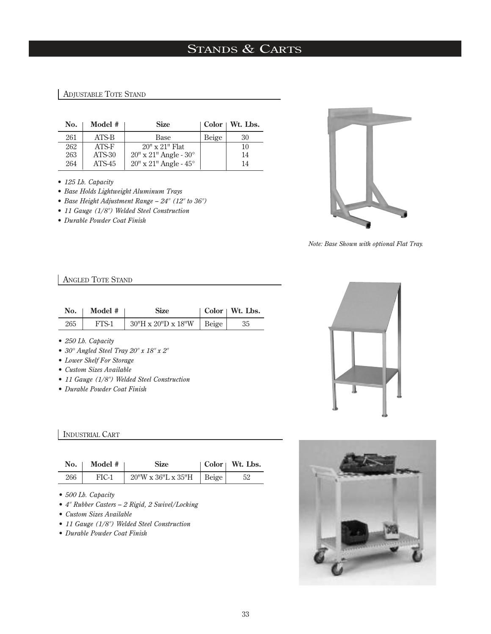# STANDS & CARTS

## ADJUSTABLE TOTE STAND

| No. | Model # | <b>Size</b>                             |       | $Color \perp Wt. Lbs.$ |
|-----|---------|-----------------------------------------|-------|------------------------|
| 261 | ATS-B   | Base                                    | Beige | 30                     |
| 262 | ATS-F   | $20'' \times 21''$ Flat                 |       | 10                     |
| 263 | ATS-30  | $20'' \times 21''$ Angle - $30^{\circ}$ |       | 14                     |
| 264 | ATS-45  | $20"$ x $21"$ Angle - $45°$             |       | 14                     |

*• 125 Lb. Capacity*

- *Base Holds Lightweight Aluminum Trays*
- *Base Height Adjustment Range 24" (12" to 36")*
- *11 Gauge (1/8") Welded Steel Construction*
- *Durable Powder Coat Finish*



*Note: Base Shown with optional Flat Tray.*

## ANGLED TOTE STAND

| No. | Model # | <b>Size</b>                    |       | $Color \mid Wt. Lbs.$ |
|-----|---------|--------------------------------|-------|-----------------------|
| 265 | FTS-1   | $30''$ H x $20''$ D x $18''$ W | Beige | 35                    |

- *250 Lb. Capacity*
- *30° Angled Steel Tray 20" x 18" x 2"*
- *Lower Shelf For Storage*
- *Custom Sizes Available*
- *11 Gauge (1/8") Welded Steel Construction*
- *Durable Powder Coat Finish*

## INDUSTRIAL CART

| No. | Model # | <b>Size</b>                               | Color   Wt. Lbs. |
|-----|---------|-------------------------------------------|------------------|
| 266 | FIC-1   | $20''W \times 36''L \times 35''H$   Beige |                  |

- *500 Lb. Capacity*
- *4" Rubber Casters 2 Rigid, 2 Swivel/Locking*
- *Custom Sizes Available*
- *11 Gauge (1/8") Welded Steel Construction*
- *Durable Powder Coat Finish*



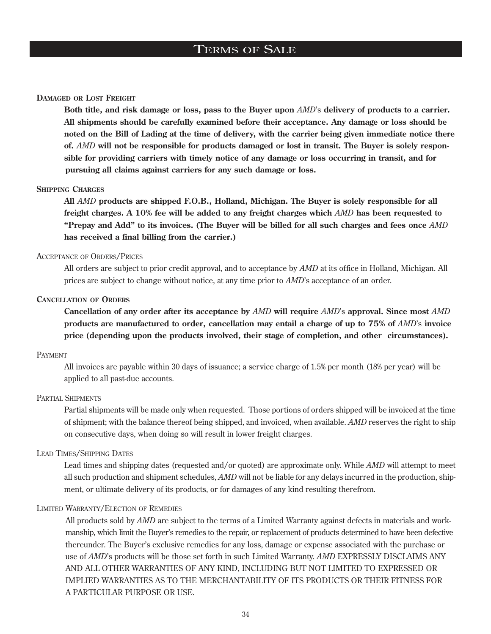## TERMS OF SALE

#### **DAMAGED OR LOST FREIGHT**

**Both title, and risk damage or loss, pass to the Buyer upon** *AMD*'s **delivery of products to a carrier. All shipments should be carefully examined before their acceptance. Any damage or loss should be noted on the Bill of Lading at the time of delivery, with the carrier being given immediate notice there of.** *AMD* **will not be responsible for products damaged or lost in transit. The Buyer is solely responsible for providing carriers with timely notice of any damage or loss occurring in transit, and for pursuing all claims against carriers for any such damage or loss.**

#### **SHIPPING CHARGES**

**All** *AMD* **products are shipped F.O.B., Holland, Michigan. The Buyer is solely responsible for all freight charges. A 10% fee will be added to any freight charges which** *AMD* **has been requested to "Prepay and Add" to its invoices. (The Buyer will be billed for all such charges and fees once** *AMD* **has received a final billing from the carrier.)**

#### ACCEPTANCE OF ORDERS/PRICES

All orders are subject to prior credit approval, and to acceptance by *AMD* at its office in Holland, Michigan. All prices are subject to change without notice, at any time prior to *AMD*'s acceptance of an order.

#### **CANCELLATION OF ORDERS**

**Cancellation of any order after its acceptance by** *AMD* **will require** *AMD*'s **approval. Since most** *AMD* **products are manufactured to order, cancellation may entail a charge of up to 75% of** *AMD*'s **invoice price (depending upon the products involved, their stage of completion, and other circumstances).**

### PAYMENT

All invoices are payable within 30 days of issuance; a service charge of 1.5% per month (18% per year) will be applied to all past-due accounts.

#### PARTIAL SHIPMENTS

Partial shipments will be made only when requested. Those portions of orders shipped will be invoiced at the time of shipment; with the balance thereof being shipped, and invoiced, when available. *AMD* reserves the right to ship on consecutive days, when doing so will result in lower freight charges.

### LEAD TIMES/SHIPPING DATES

Lead times and shipping dates (requested and/or quoted) are approximate only. While *AMD* will attempt to meet all such production and shipment schedules, *AMD* will not be liable for any delays incurred in the production, shipment, or ultimate delivery of its products, or for damages of any kind resulting therefrom.

#### LIMITED WARRANTY/ELECTION OF REMEDIES

All products sold by *AMD* are subject to the terms of a Limited Warranty against defects in materials and workmanship, which limit the Buyer's remedies to the repair, or replacement of products determined to have been defective thereunder. The Buyer's exclusive remedies for any loss, damage or expense associated with the purchase or use of *AMD*'s products will be those set forth in such Limited Warranty. *AMD* EXPRESSLY DISCLAIMS ANY AND ALL OTHER WARRANTIES OF ANY KIND, INCLUDING BUT NOT LIMITED TO EXPRESSED OR IMPLIED WARRANTIES AS TO THE MERCHANTABILITY OF ITS PRODUCTS OR THEIR FITNESS FOR A PARTICULAR PURPOSE OR USE.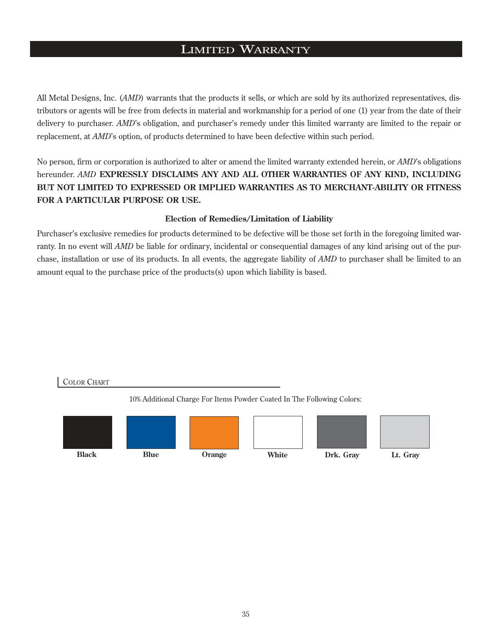## LIMITED WARRANTY

All Metal Designs, Inc. (*AMD*) warrants that the products it sells, or which are sold by its authorized representatives, distributors or agents will be free from defects in material and workmanship for a period of one (1) year from the date of their delivery to purchaser. *AMD*'s obligation, and purchaser's remedy under this limited warranty are limited to the repair or replacement, at *AMD*'s option, of products determined to have been defective within such period.

No person, firm or corporation is authorized to alter or amend the limited warranty extended herein, or *AMD*'s obligations hereunder. *AMD* **EXPRESSLY DISCLAIMS ANY AND ALL OTHER WARRANTIES OF ANY KIND, INCLUDING BUT NOT LIMITED TO EXPRESSED OR IMPLIED WARRANTIES AS TO MERCHANT-ABILITY OR FITNESS FOR A PARTICULAR PURPOSE OR USE.**

## **Election of Remedies/Limitation of Liability**

Purchaser's exclusive remedies for products determined to be defective will be those set forth in the foregoing limited warranty. In no event will *AMD* be liable for ordinary, incidental or consequential damages of any kind arising out of the purchase, installation or use of its products. In all events, the aggregate liability of *AMD* to purchaser shall be limited to an amount equal to the purchase price of the products(s) upon which liability is based.